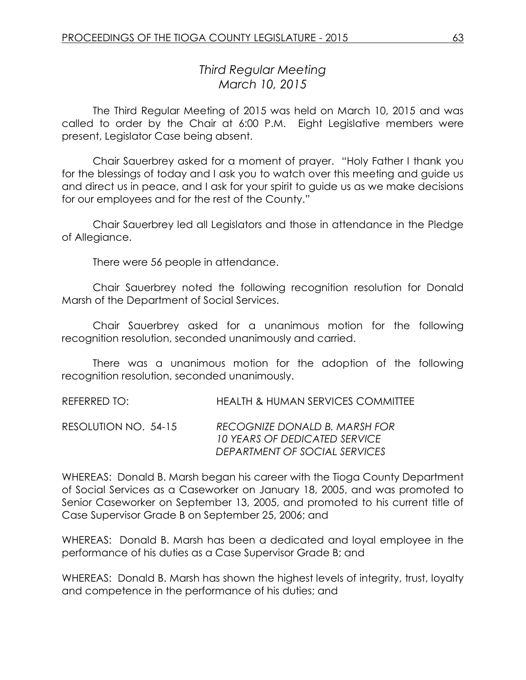# *Third Regular Meeting March 10, 2015*

The Third Regular Meeting of 2015 was held on March 10, 2015 and was called to order by the Chair at 6:00 P.M. Eight Legislative members were present, Legislator Case being absent.

Chair Sauerbrey asked for a moment of prayer. "Holy Father I thank you for the blessings of today and I ask you to watch over this meeting and guide us and direct us in peace, and I ask for your spirit to guide us as we make decisions for our employees and for the rest of the County."

Chair Sauerbrey led all Legislators and those in attendance in the Pledge of Allegiance.

There were 56 people in attendance.

Chair Sauerbrey noted the following recognition resolution for Donald Marsh of the Department of Social Services.

Chair Sauerbrey asked for a unanimous motion for the following recognition resolution, seconded unanimously and carried.

There was a unanimous motion for the adoption of the following recognition resolution, seconded unanimously.

REFERRED TO: HEALTH & HUMAN SERVICES COMMITTEE

RESOLUTION NO. 54-15 *RECOGNIZE DONALD B. MARSH FOR 10 YEARS OF DEDICATED SERVICE DEPARTMENT OF SOCIAL SERVICES*

WHEREAS: Donald B. Marsh began his career with the Tioga County Department of Social Services as a Caseworker on January 18, 2005, and was promoted to Senior Caseworker on September 13, 2005, and promoted to his current title of Case Supervisor Grade B on September 25, 2006; and

WHEREAS: Donald B. Marsh has been a dedicated and loyal employee in the performance of his duties as a Case Supervisor Grade B; and

WHEREAS: Donald B. Marsh has shown the highest levels of integrity, trust, loyalty and competence in the performance of his duties; and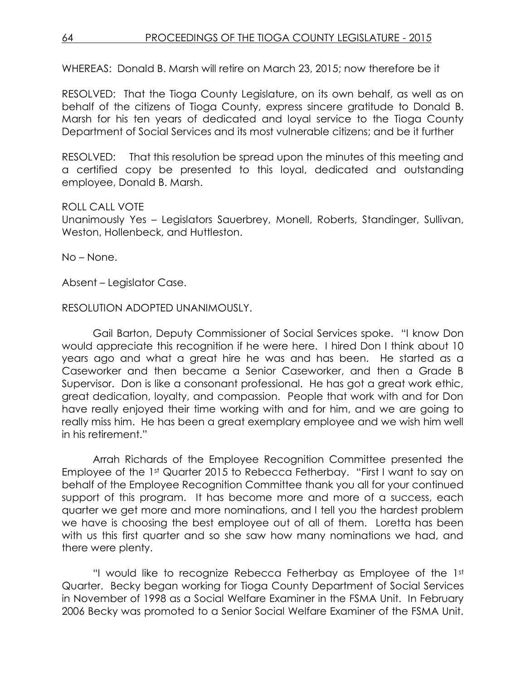## 64 PROCEEDINGS OF THE TIOGA COUNTY LEGISLATURE - 2015

WHEREAS: Donald B. Marsh will retire on March 23, 2015; now therefore be it

RESOLVED:That the Tioga County Legislature, on its own behalf, as well as on behalf of the citizens of Tioga County, express sincere gratitude to Donald B. Marsh for his ten years of dedicated and loyal service to the Tioga County Department of Social Services and its most vulnerable citizens; and be it further

RESOLVED: That this resolution be spread upon the minutes of this meeting and a certified copy be presented to this loyal, dedicated and outstanding employee, Donald B. Marsh.

#### ROLL CALL VOTE

Unanimously Yes – Legislators Sauerbrey, Monell, Roberts, Standinger, Sullivan, Weston, Hollenbeck, and Huttleston.

No – None.

Absent – Legislator Case.

#### RESOLUTION ADOPTED UNANIMOUSLY.

Gail Barton, Deputy Commissioner of Social Services spoke. "I know Don would appreciate this recognition if he were here. I hired Don I think about 10 years ago and what a great hire he was and has been. He started as a Caseworker and then became a Senior Caseworker, and then a Grade B Supervisor. Don is like a consonant professional. He has got a great work ethic, great dedication, loyalty, and compassion. People that work with and for Don have really enjoyed their time working with and for him, and we are going to really miss him. He has been a great exemplary employee and we wish him well in his retirement."

Arrah Richards of the Employee Recognition Committee presented the Employee of the 1st Quarter 2015 to Rebecca Fetherbay. "First I want to say on behalf of the Employee Recognition Committee thank you all for your continued support of this program. It has become more and more of a success, each quarter we get more and more nominations, and I tell you the hardest problem we have is choosing the best employee out of all of them. Loretta has been with us this first quarter and so she saw how many nominations we had, and there were plenty.

"I would like to recognize Rebecca Fetherbay as Employee of the 1st Quarter. Becky began working for Tioga County Department of Social Services in November of 1998 as a Social Welfare Examiner in the FSMA Unit. In February 2006 Becky was promoted to a Senior Social Welfare Examiner of the FSMA Unit.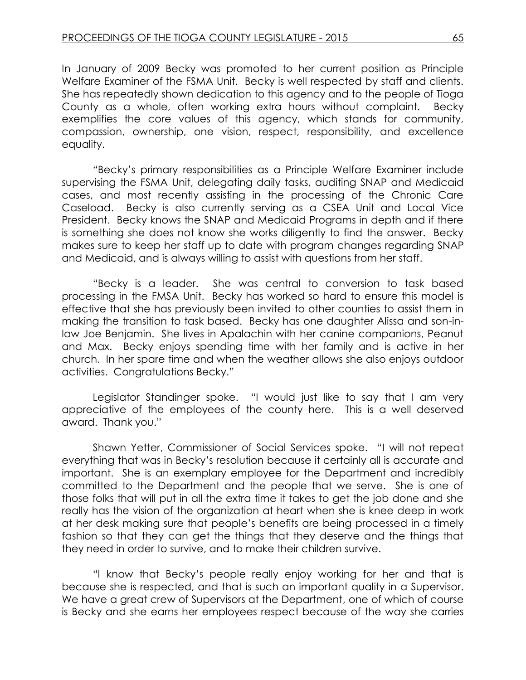In January of 2009 Becky was promoted to her current position as Principle Welfare Examiner of the FSMA Unit. Becky is well respected by staff and clients. She has repeatedly shown dedication to this agency and to the people of Tioga County as a whole, often working extra hours without complaint. Becky exemplifies the core values of this agency, which stands for community, compassion, ownership, one vision, respect, responsibility, and excellence equality.

"Becky's primary responsibilities as a Principle Welfare Examiner include supervising the FSMA Unit, delegating daily tasks, auditing SNAP and Medicaid cases, and most recently assisting in the processing of the Chronic Care Caseload. Becky is also currently serving as a CSEA Unit and Local Vice President. Becky knows the SNAP and Medicaid Programs in depth and if there is something she does not know she works diligently to find the answer. Becky makes sure to keep her staff up to date with program changes regarding SNAP and Medicaid, and is always willing to assist with questions from her staff.

"Becky is a leader. She was central to conversion to task based processing in the FMSA Unit. Becky has worked so hard to ensure this model is effective that she has previously been invited to other counties to assist them in making the transition to task based. Becky has one daughter Alissa and son-inlaw Joe Benjamin. She lives in Apalachin with her canine companions, Peanut and Max. Becky enjoys spending time with her family and is active in her church. In her spare time and when the weather allows she also enjoys outdoor activities. Congratulations Becky."

Legislator Standinger spoke. "I would just like to say that I am very appreciative of the employees of the county here. This is a well deserved award. Thank you."

Shawn Yetter, Commissioner of Social Services spoke. "I will not repeat everything that was in Becky's resolution because it certainly all is accurate and important. She is an exemplary employee for the Department and incredibly committed to the Department and the people that we serve. She is one of those folks that will put in all the extra time it takes to get the job done and she really has the vision of the organization at heart when she is knee deep in work at her desk making sure that people's benefits are being processed in a timely fashion so that they can get the things that they deserve and the things that they need in order to survive, and to make their children survive.

"I know that Becky's people really enjoy working for her and that is because she is respected, and that is such an important quality in a Supervisor. We have a great crew of Supervisors at the Department, one of which of course is Becky and she earns her employees respect because of the way she carries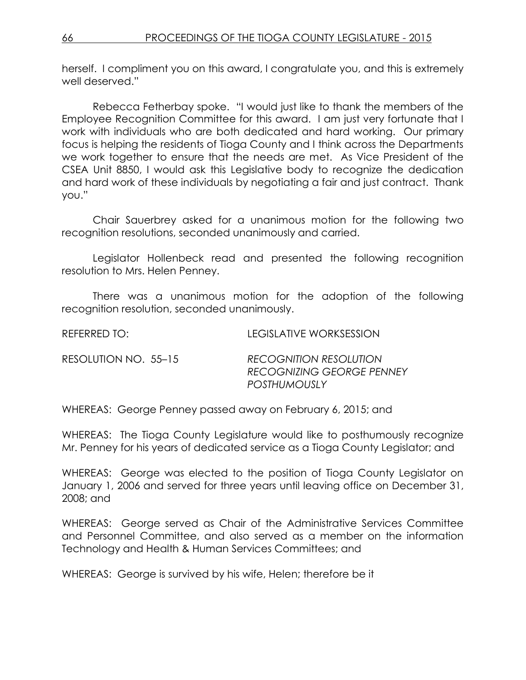herself. I compliment you on this award, I congratulate you, and this is extremely well deserved."

Rebecca Fetherbay spoke. "I would just like to thank the members of the Employee Recognition Committee for this award. I am just very fortunate that I work with individuals who are both dedicated and hard working. Our primary focus is helping the residents of Tioga County and I think across the Departments we work together to ensure that the needs are met. As Vice President of the CSEA Unit 8850, I would ask this Legislative body to recognize the dedication and hard work of these individuals by negotiating a fair and just contract. Thank you."

Chair Sauerbrey asked for a unanimous motion for the following two recognition resolutions, seconded unanimously and carried.

Legislator Hollenbeck read and presented the following recognition resolution to Mrs. Helen Penney.

There was a unanimous motion for the adoption of the following recognition resolution, seconded unanimously.

| REFERRED TO: I       | LEGISLATIVE WORKSESSION                                                           |
|----------------------|-----------------------------------------------------------------------------------|
| RESOLUTION NO. 55–15 | <b>RECOGNITION RESOLUTION</b><br>RECOGNIZING GEORGE PENNEY<br><b>POSTHUMOUSLY</b> |

WHEREAS: George Penney passed away on February 6, 2015; and

WHEREAS: The Tioga County Legislature would like to posthumously recognize Mr. Penney for his years of dedicated service as a Tioga County Legislator; and

WHEREAS: George was elected to the position of Tioga County Legislator on January 1, 2006 and served for three years until leaving office on December 31, 2008; and

WHEREAS: George served as Chair of the Administrative Services Committee and Personnel Committee, and also served as a member on the information Technology and Health & Human Services Committees; and

WHEREAS: George is survived by his wife, Helen; therefore be it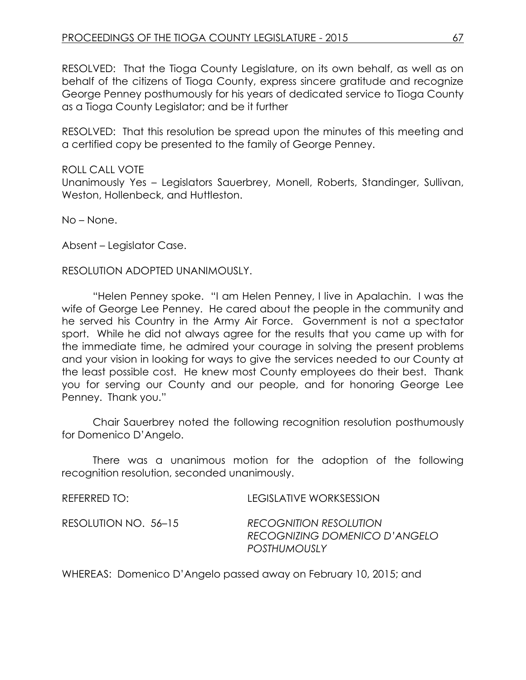RESOLVED: That the Tioga County Legislature, on its own behalf, as well as on behalf of the citizens of Tioga County, express sincere gratitude and recognize George Penney posthumously for his years of dedicated service to Tioga County as a Tioga County Legislator; and be it further

RESOLVED: That this resolution be spread upon the minutes of this meeting and a certified copy be presented to the family of George Penney.

#### ROLL CALL VOTE

Unanimously Yes – Legislators Sauerbrey, Monell, Roberts, Standinger, Sullivan, Weston, Hollenbeck, and Huttleston.

No – None.

Absent – Legislator Case.

#### RESOLUTION ADOPTED UNANIMOUSLY.

"Helen Penney spoke. "I am Helen Penney, I live in Apalachin. I was the wife of George Lee Penney. He cared about the people in the community and he served his Country in the Army Air Force. Government is not a spectator sport. While he did not always agree for the results that you came up with for the immediate time, he admired your courage in solving the present problems and your vision in looking for ways to give the services needed to our County at the least possible cost. He knew most County employees do their best. Thank you for serving our County and our people, and for honoring George Lee Penney. Thank you."

Chair Sauerbrey noted the following recognition resolution posthumously for Domenico D'Angelo.

There was a unanimous motion for the adoption of the following recognition resolution, seconded unanimously.

| RFFFRRFD TO:         | LEGISLATIVE WORKSESSION                                                               |
|----------------------|---------------------------------------------------------------------------------------|
| RESOLUTION NO. 56–15 | <b>RECOGNITION RESOLUTION</b><br>RECOGNIZING DOMENICO D'ANGELO<br><b>POSTHUMOUSLY</b> |
|                      |                                                                                       |

WHEREAS: Domenico D'Angelo passed away on February 10, 2015; and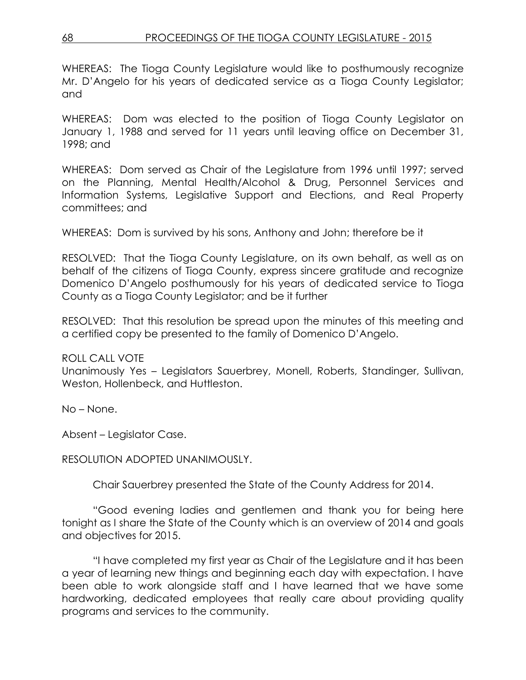WHEREAS: The Tioga County Legislature would like to posthumously recognize Mr. D'Angelo for his years of dedicated service as a Tioga County Legislator; and

WHEREAS: Dom was elected to the position of Tioga County Legislator on January 1, 1988 and served for 11 years until leaving office on December 31, 1998; and

WHEREAS: Dom served as Chair of the Legislature from 1996 until 1997; served on the Planning, Mental Health/Alcohol & Drug, Personnel Services and Information Systems, Legislative Support and Elections, and Real Property committees; and

WHEREAS: Dom is survived by his sons, Anthony and John; therefore be it

RESOLVED: That the Tioga County Legislature, on its own behalf, as well as on behalf of the citizens of Tioga County, express sincere gratitude and recognize Domenico D'Angelo posthumously for his years of dedicated service to Tioga County as a Tioga County Legislator; and be it further

RESOLVED: That this resolution be spread upon the minutes of this meeting and a certified copy be presented to the family of Domenico D'Angelo.

ROLL CALL VOTE

Unanimously Yes – Legislators Sauerbrey, Monell, Roberts, Standinger, Sullivan, Weston, Hollenbeck, and Huttleston.

No – None.

Absent – Legislator Case.

RESOLUTION ADOPTED UNANIMOUSLY.

Chair Sauerbrey presented the State of the County Address for 2014.

"Good evening ladies and gentlemen and thank you for being here tonight as I share the State of the County which is an overview of 2014 and goals and objectives for 2015.

"I have completed my first year as Chair of the Legislature and it has been a year of learning new things and beginning each day with expectation. I have been able to work alongside staff and I have learned that we have some hardworking, dedicated employees that really care about providing quality programs and services to the community.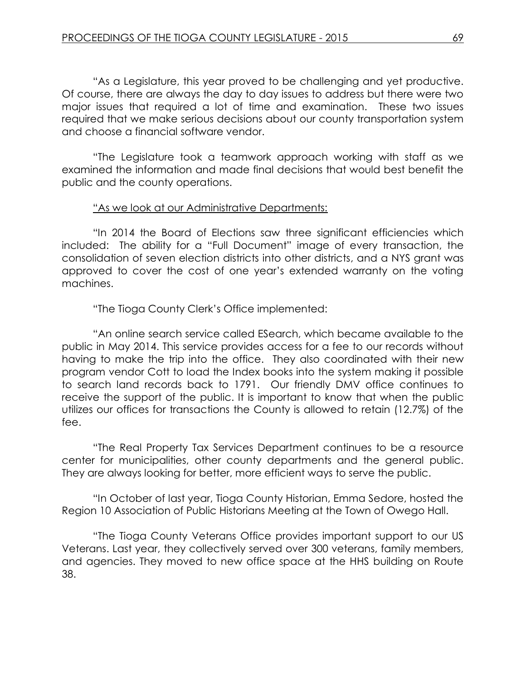"As a Legislature, this year proved to be challenging and yet productive. Of course, there are always the day to day issues to address but there were two major issues that required a lot of time and examination. These two issues required that we make serious decisions about our county transportation system and choose a financial software vendor.

"The Legislature took a teamwork approach working with staff as we examined the information and made final decisions that would best benefit the public and the county operations.

#### "As we look at our Administrative Departments:

"In 2014 the Board of Elections saw three significant efficiencies which included: The ability for a "Full Document" image of every transaction, the consolidation of seven election districts into other districts, and a NYS grant was approved to cover the cost of one year's extended warranty on the voting machines.

"The Tioga County Clerk's Office implemented:

"An online search service called ESearch, which became available to the public in May 2014. This service provides access for a fee to our records without having to make the trip into the office. They also coordinated with their new program vendor Cott to load the Index books into the system making it possible to search land records back to 1791. Our friendly DMV office continues to receive the support of the public. It is important to know that when the public utilizes our offices for transactions the County is allowed to retain (12.7%) of the fee.

"The Real Property Tax Services Department continues to be a resource center for municipalities, other county departments and the general public. They are always looking for better, more efficient ways to serve the public.

"In October of last year, Tioga County Historian, Emma Sedore, hosted the Region 10 Association of Public Historians Meeting at the Town of Owego Hall.

"The Tioga County Veterans Office provides important support to our US Veterans. Last year, they collectively served over 300 veterans, family members, and agencies. They moved to new office space at the HHS building on Route 38.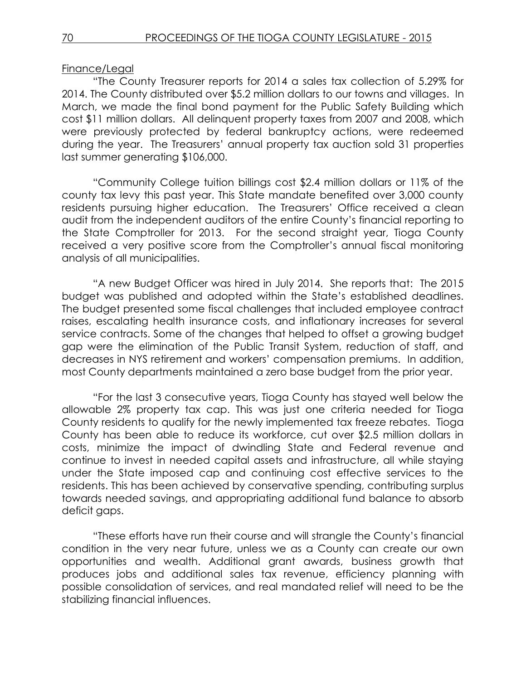### Finance/Legal

"The County Treasurer reports for 2014 a sales tax collection of 5.29% for 2014. The County distributed over \$5.2 million dollars to our towns and villages. In March, we made the final bond payment for the Public Safety Building which cost \$11 million dollars. All delinquent property taxes from 2007 and 2008, which were previously protected by federal bankruptcy actions, were redeemed during the year. The Treasurers' annual property tax auction sold 31 properties last summer generating \$106,000.

"Community College tuition billings cost \$2.4 million dollars or 11% of the county tax levy this past year. This State mandate benefited over 3,000 county residents pursuing higher education. The Treasurers' Office received a clean audit from the independent auditors of the entire County's financial reporting to the State Comptroller for 2013. For the second straight year, Tioga County received a very positive score from the Comptroller's annual fiscal monitoring analysis of all municipalities.

"A new Budget Officer was hired in July 2014. She reports that: The 2015 budget was published and adopted within the State's established deadlines. The budget presented some fiscal challenges that included employee contract raises, escalating health insurance costs, and inflationary increases for several service contracts. Some of the changes that helped to offset a growing budget gap were the elimination of the Public Transit System, reduction of staff, and decreases in NYS retirement and workers' compensation premiums. In addition, most County departments maintained a zero base budget from the prior year.

"For the last 3 consecutive years, Tioga County has stayed well below the allowable 2% property tax cap. This was just one criteria needed for Tioga County residents to qualify for the newly implemented tax freeze rebates. Tioga County has been able to reduce its workforce, cut over \$2.5 million dollars in costs, minimize the impact of dwindling State and Federal revenue and continue to invest in needed capital assets and infrastructure, all while staying under the State imposed cap and continuing cost effective services to the residents. This has been achieved by conservative spending, contributing surplus towards needed savings, and appropriating additional fund balance to absorb deficit gaps.

"These efforts have run their course and will strangle the County's financial condition in the very near future, unless we as a County can create our own opportunities and wealth. Additional grant awards, business growth that produces jobs and additional sales tax revenue, efficiency planning with possible consolidation of services, and real mandated relief will need to be the stabilizing financial influences.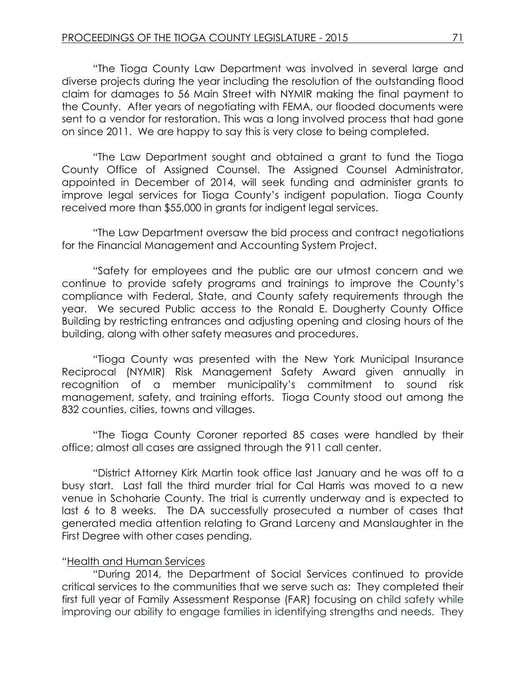"The Tioga County Law Department was involved in several large and diverse projects during the year including the resolution of the outstanding flood claim for damages to 56 Main Street with NYMIR making the final payment to the County. After years of negotiating with FEMA, our flooded documents were sent to a vendor for restoration. This was a long involved process that had gone on since 2011. We are happy to say this is very close to being completed.

"The Law Department sought and obtained a grant to fund the Tioga County Office of Assigned Counsel. The Assigned Counsel Administrator, appointed in December of 2014, will seek funding and administer grants to improve legal services for Tioga County's indigent population. Tioga County received more than \$55,000 in grants for indigent legal services.

"The Law Department oversaw the bid process and contract negotiations for the Financial Management and Accounting System Project.

"Safety for employees and the public are our utmost concern and we continue to provide safety programs and trainings to improve the County's compliance with Federal, State, and County safety requirements through the year. We secured Public access to the Ronald E. Dougherty County Office Building by restricting entrances and adjusting opening and closing hours of the building, along with other safety measures and procedures.

"Tioga County was presented with the New York Municipal Insurance Reciprocal (NYMIR) Risk Management Safety Award given annually in recognition of a member municipality's commitment to sound risk management, safety, and training efforts. Tioga County stood out among the 832 counties, cities, towns and villages.

"The Tioga County Coroner reported 85 cases were handled by their office; almost all cases are assigned through the 911 call center.

"District Attorney Kirk Martin took office last January and he was off to a busy start. Last fall the third murder trial for Cal Harris was moved to a new venue in Schoharie County. The trial is currently underway and is expected to last 6 to 8 weeks. The DA successfully prosecuted a number of cases that generated media attention relating to Grand Larceny and Manslaughter in the First Degree with other cases pending.

#### "Health and Human Services

"During 2014, the Department of Social Services continued to provide critical services to the communities that we serve such as: They completed their first full year of Family Assessment Response (FAR) focusing on child safety while improving our ability to engage families in identifying strengths and needs. They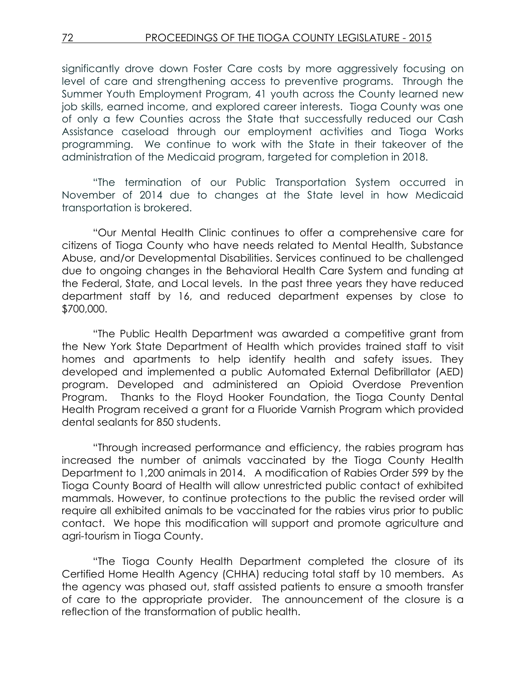significantly drove down Foster Care costs by more aggressively focusing on level of care and strengthening access to preventive programs. Through the Summer Youth Employment Program, 41 youth across the County learned new job skills, earned income, and explored career interests. Tioga County was one of only a few Counties across the State that successfully reduced our Cash Assistance caseload through our employment activities and Tioga Works programming. We continue to work with the State in their takeover of the administration of the Medicaid program, targeted for completion in 2018.

"The termination of our Public Transportation System occurred in November of 2014 due to changes at the State level in how Medicaid transportation is brokered.

"Our Mental Health Clinic continues to offer a comprehensive care for citizens of Tioga County who have needs related to Mental Health, Substance Abuse, and/or Developmental Disabilities. Services continued to be challenged due to ongoing changes in the Behavioral Health Care System and funding at the Federal, State, and Local levels. In the past three years they have reduced department staff by 16, and reduced department expenses by close to \$700,000.

"The Public Health Department was awarded a competitive grant from the New York State Department of Health which provides trained staff to visit homes and apartments to help identify health and safety issues. They developed and implemented a public Automated External Defibrillator (AED) program. Developed and administered an Opioid Overdose Prevention Program. Thanks to the Floyd Hooker Foundation, the Tioga County Dental Health Program received a grant for a Fluoride Varnish Program which provided dental sealants for 850 students.

"Through increased performance and efficiency, the rabies program has increased the number of animals vaccinated by the Tioga County Health Department to 1,200 animals in 2014. A modification of Rabies Order 599 by the Tioga County Board of Health will allow unrestricted public contact of exhibited mammals. However, to continue protections to the public the revised order will require all exhibited animals to be vaccinated for the rabies virus prior to public contact. We hope this modification will support and promote agriculture and agri-tourism in Tioga County.

"The Tioga County Health Department completed the closure of its Certified Home Health Agency (CHHA) reducing total staff by 10 members. As the agency was phased out, staff assisted patients to ensure a smooth transfer of care to the appropriate provider. The announcement of the closure is a reflection of the transformation of public health.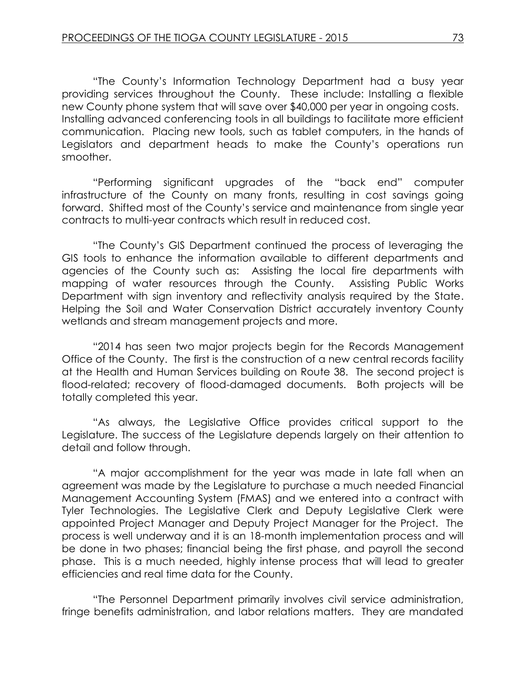"The County's Information Technology Department had a busy year providing services throughout the County. These include: Installing a flexible new County phone system that will save over \$40,000 per year in ongoing costs. Installing advanced conferencing tools in all buildings to facilitate more efficient communication. Placing new tools, such as tablet computers, in the hands of Legislators and department heads to make the County's operations run smoother.

"Performing significant upgrades of the "back end" computer infrastructure of the County on many fronts, resulting in cost savings going forward. Shifted most of the County's service and maintenance from single year contracts to multi-year contracts which result in reduced cost.

"The County's GIS Department continued the process of leveraging the GIS tools to enhance the information available to different departments and agencies of the County such as: Assisting the local fire departments with mapping of water resources through the County. Assisting Public Works Department with sign inventory and reflectivity analysis required by the State. Helping the Soil and Water Conservation District accurately inventory County wetlands and stream management projects and more.

"2014 has seen two major projects begin for the Records Management Office of the County. The first is the construction of a new central records facility at the Health and Human Services building on Route 38. The second project is flood-related; recovery of flood-damaged documents. Both projects will be totally completed this year.

"As always, the Legislative Office provides critical support to the Legislature. The success of the Legislature depends largely on their attention to detail and follow through.

"A major accomplishment for the year was made in late fall when an agreement was made by the Legislature to purchase a much needed Financial Management Accounting System (FMAS) and we entered into a contract with Tyler Technologies. The Legislative Clerk and Deputy Legislative Clerk were appointed Project Manager and Deputy Project Manager for the Project. The process is well underway and it is an 18-month implementation process and will be done in two phases; financial being the first phase, and payroll the second phase. This is a much needed, highly intense process that will lead to greater efficiencies and real time data for the County.

"The Personnel Department primarily involves civil service administration, fringe benefits administration, and labor relations matters. They are mandated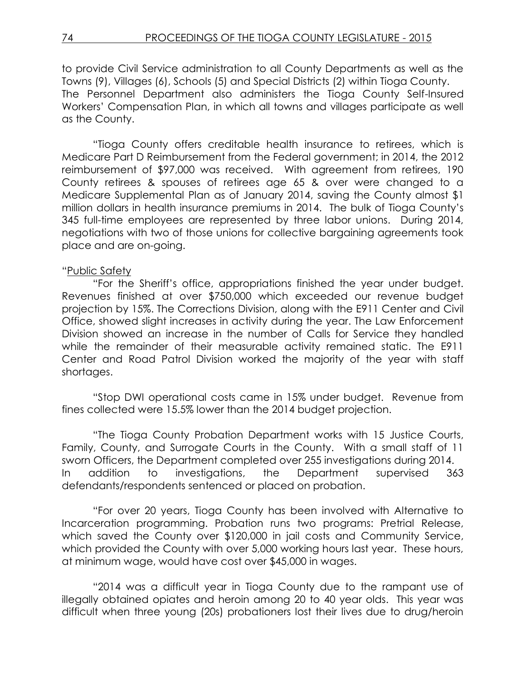to provide Civil Service administration to all County Departments as well as the Towns (9), Villages (6), Schools (5) and Special Districts (2) within Tioga County. The Personnel Department also administers the Tioga County Self-Insured Workers' Compensation Plan, in which all towns and villages participate as well as the County.

"Tioga County offers creditable health insurance to retirees, which is Medicare Part D Reimbursement from the Federal government; in 2014, the 2012 reimbursement of \$97,000 was received. With agreement from retirees, 190 County retirees & spouses of retirees age 65 & over were changed to a Medicare Supplemental Plan as of January 2014, saving the County almost \$1 million dollars in health insurance premiums in 2014. The bulk of Tioga County's 345 full-time employees are represented by three labor unions. During 2014, negotiations with two of those unions for collective bargaining agreements took place and are on-going.

### "Public Safety

"For the Sheriff's office, appropriations finished the year under budget. Revenues finished at over \$750,000 which exceeded our revenue budget projection by 15%. The Corrections Division, along with the E911 Center and Civil Office, showed slight increases in activity during the year. The Law Enforcement Division showed an increase in the number of Calls for Service they handled while the remainder of their measurable activity remained static. The E911 Center and Road Patrol Division worked the majority of the year with staff shortages.

"Stop DWI operational costs came in 15% under budget. Revenue from fines collected were 15.5% lower than the 2014 budget projection.

"The Tioga County Probation Department works with 15 Justice Courts, Family, County, and Surrogate Courts in the County. With a small staff of 11 sworn Officers, the Department completed over 255 investigations during 2014. In addition to investigations, the Department supervised 363 defendants/respondents sentenced or placed on probation.

"For over 20 years, Tioga County has been involved with Alternative to Incarceration programming. Probation runs two programs: Pretrial Release, which saved the County over \$120,000 in jail costs and Community Service, which provided the County with over 5,000 working hours last year. These hours, at minimum wage, would have cost over \$45,000 in wages.

"2014 was a difficult year in Tioga County due to the rampant use of illegally obtained opiates and heroin among 20 to 40 year olds. This year was difficult when three young (20s) probationers lost their lives due to drug/heroin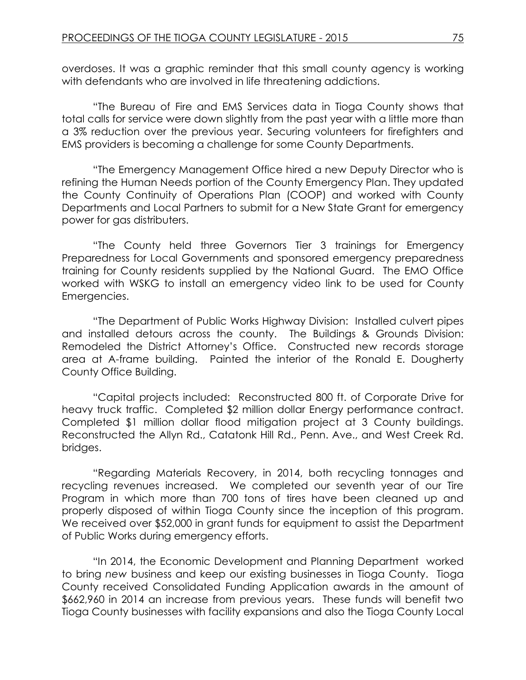overdoses. It was a graphic reminder that this small county agency is working with defendants who are involved in life threatening addictions.

"The Bureau of Fire and EMS Services data in Tioga County shows that total calls for service were down slightly from the past year with a little more than a 3% reduction over the previous year. Securing volunteers for firefighters and EMS providers is becoming a challenge for some County Departments.

"The Emergency Management Office hired a new Deputy Director who is refining the Human Needs portion of the County Emergency Plan. They updated the County Continuity of Operations Plan (COOP) and worked with County Departments and Local Partners to submit for a New State Grant for emergency power for gas distributers.

"The County held three Governors Tier 3 trainings for Emergency Preparedness for Local Governments and sponsored emergency preparedness training for County residents supplied by the National Guard. The EMO Office worked with WSKG to install an emergency video link to be used for County Emergencies.

"The Department of Public Works Highway Division: Installed culvert pipes and installed detours across the county. The Buildings & Grounds Division: Remodeled the District Attorney's Office. Constructed new records storage area at A-frame building. Painted the interior of the Ronald E. Dougherty County Office Building.

"Capital projects included: Reconstructed 800 ft. of Corporate Drive for heavy truck traffic. Completed \$2 million dollar Energy performance contract. Completed \$1 million dollar flood mitigation project at 3 County buildings. Reconstructed the Allyn Rd., Catatonk Hill Rd., Penn. Ave., and West Creek Rd. bridges.

"Regarding Materials Recovery, in 2014, both recycling tonnages and recycling revenues increased. We completed our seventh year of our Tire Program in which more than 700 tons of tires have been cleaned up and properly disposed of within Tioga County since the inception of this program. We received over \$52,000 in grant funds for equipment to assist the Department of Public Works during emergency efforts.

"In 2014, the Economic Development and Planning Department worked to bring *new* business and keep our existing businesses in Tioga County. Tioga County received Consolidated Funding Application awards in the amount of \$662,960 in 2014 an increase from previous years. These funds will benefit two Tioga County businesses with facility expansions and also the Tioga County Local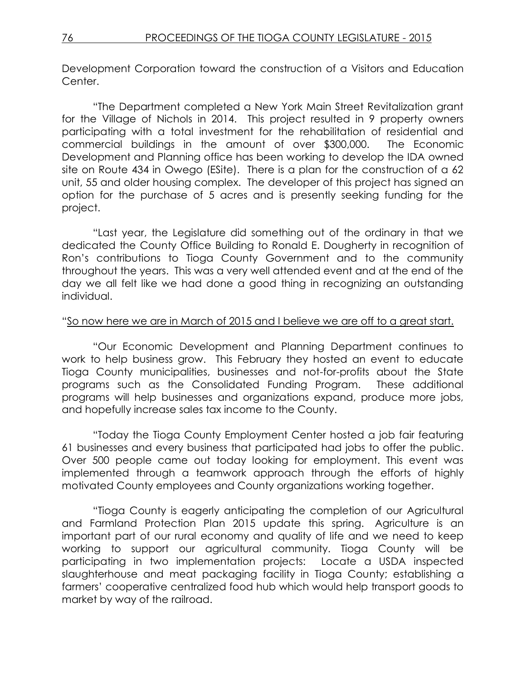Development Corporation toward the construction of a Visitors and Education Center.

"The Department completed a New York Main Street Revitalization grant for the Village of Nichols in 2014. This project resulted in 9 property owners participating with a total investment for the rehabilitation of residential and commercial buildings in the amount of over \$300,000. The Economic Development and Planning office has been working to develop the IDA owned site on Route 434 in Owego (ESite). There is a plan for the construction of a 62 unit, 55 and older housing complex. The developer of this project has signed an option for the purchase of 5 acres and is presently seeking funding for the project.

"Last year, the Legislature did something out of the ordinary in that we dedicated the County Office Building to Ronald E. Dougherty in recognition of Ron's contributions to Tioga County Government and to the community throughout the years. This was a very well attended event and at the end of the day we all felt like we had done a good thing in recognizing an outstanding individual.

#### "So now here we are in March of 2015 and I believe we are off to a great start.

"Our Economic Development and Planning Department continues to work to help business grow. This February they hosted an event to educate Tioga County municipalities, businesses and not-for-profits about the State programs such as the Consolidated Funding Program. These additional programs will help businesses and organizations expand, produce more jobs, and hopefully increase sales tax income to the County.

"Today the Tioga County Employment Center hosted a job fair featuring 61 businesses and every business that participated had jobs to offer the public. Over 500 people came out today looking for employment. This event was implemented through a teamwork approach through the efforts of highly motivated County employees and County organizations working together.

"Tioga County is eagerly anticipating the completion of our Agricultural and Farmland Protection Plan 2015 update this spring. Agriculture is an important part of our rural economy and quality of life and we need to keep working to support our agricultural community. Tioga County will be participating in two implementation projects: Locate a USDA inspected slaughterhouse and meat packaging facility in Tioga County; establishing a farmers' cooperative centralized food hub which would help transport goods to market by way of the railroad.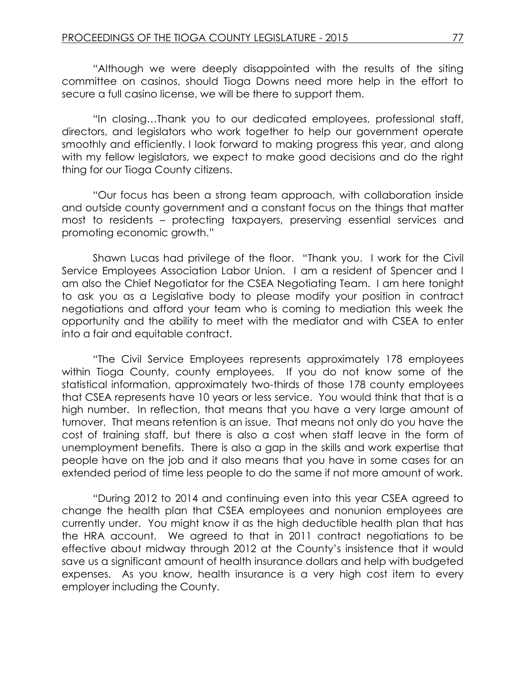"Although we were deeply disappointed with the results of the siting committee on casinos, should Tioga Downs need more help in the effort to secure a full casino license, we will be there to support them.

"In closing…Thank you to our dedicated employees, professional staff, directors, and legislators who work together to help our government operate smoothly and efficiently. I look forward to making progress this year, and along with my fellow legislators, we expect to make good decisions and do the right thing for our Tioga County citizens.

"Our focus has been a strong team approach, with collaboration inside and outside county government and a constant focus on the things that matter most to residents – protecting taxpayers, preserving essential services and promoting economic growth."

Shawn Lucas had privilege of the floor. "Thank you. I work for the Civil Service Employees Association Labor Union. I am a resident of Spencer and I am also the Chief Negotiator for the CSEA Negotiating Team. I am here tonight to ask you as a Legislative body to please modify your position in contract negotiations and afford your team who is coming to mediation this week the opportunity and the ability to meet with the mediator and with CSEA to enter into a fair and equitable contract.

"The Civil Service Employees represents approximately 178 employees within Tioga County, county employees. If you do not know some of the statistical information, approximately two-thirds of those 178 county employees that CSEA represents have 10 years or less service. You would think that that is a high number. In reflection, that means that you have a very large amount of turnover. That means retention is an issue. That means not only do you have the cost of training staff, but there is also a cost when staff leave in the form of unemployment benefits. There is also a gap in the skills and work expertise that people have on the job and it also means that you have in some cases for an extended period of time less people to do the same if not more amount of work.

"During 2012 to 2014 and continuing even into this year CSEA agreed to change the health plan that CSEA employees and nonunion employees are currently under. You might know it as the high deductible health plan that has the HRA account. We agreed to that in 2011 contract negotiations to be effective about midway through 2012 at the County's insistence that it would save us a significant amount of health insurance dollars and help with budgeted expenses. As you know, health insurance is a very high cost item to every employer including the County.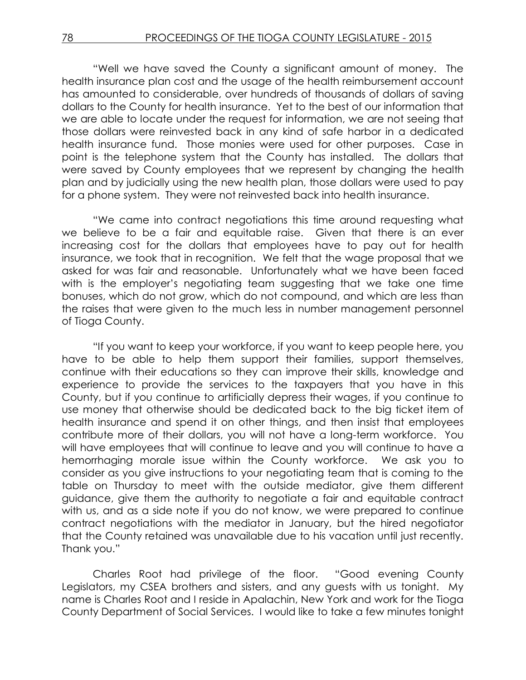"Well we have saved the County a significant amount of money. The health insurance plan cost and the usage of the health reimbursement account has amounted to considerable, over hundreds of thousands of dollars of saving dollars to the County for health insurance. Yet to the best of our information that we are able to locate under the request for information, we are not seeing that those dollars were reinvested back in any kind of safe harbor in a dedicated health insurance fund. Those monies were used for other purposes. Case in point is the telephone system that the County has installed. The dollars that were saved by County employees that we represent by changing the health plan and by judicially using the new health plan, those dollars were used to pay for a phone system. They were not reinvested back into health insurance.

"We came into contract negotiations this time around requesting what we believe to be a fair and equitable raise. Given that there is an ever increasing cost for the dollars that employees have to pay out for health insurance, we took that in recognition. We felt that the wage proposal that we asked for was fair and reasonable. Unfortunately what we have been faced with is the employer's negotiating team suggesting that we take one time bonuses, which do not grow, which do not compound, and which are less than the raises that were given to the much less in number management personnel of Tioga County.

"If you want to keep your workforce, if you want to keep people here, you have to be able to help them support their families, support themselves, continue with their educations so they can improve their skills, knowledge and experience to provide the services to the taxpayers that you have in this County, but if you continue to artificially depress their wages, if you continue to use money that otherwise should be dedicated back to the big ticket item of health insurance and spend it on other things, and then insist that employees contribute more of their dollars, you will not have a long-term workforce. You will have employees that will continue to leave and you will continue to have a hemorrhaging morale issue within the County workforce. We ask you to consider as you give instructions to your negotiating team that is coming to the table on Thursday to meet with the outside mediator, give them different guidance, give them the authority to negotiate a fair and equitable contract with us, and as a side note if you do not know, we were prepared to continue contract negotiations with the mediator in January, but the hired negotiator that the County retained was unavailable due to his vacation until just recently. Thank you."

Charles Root had privilege of the floor. "Good evening County Legislators, my CSEA brothers and sisters, and any guests with us tonight. My name is Charles Root and I reside in Apalachin, New York and work for the Tioga County Department of Social Services. I would like to take a few minutes tonight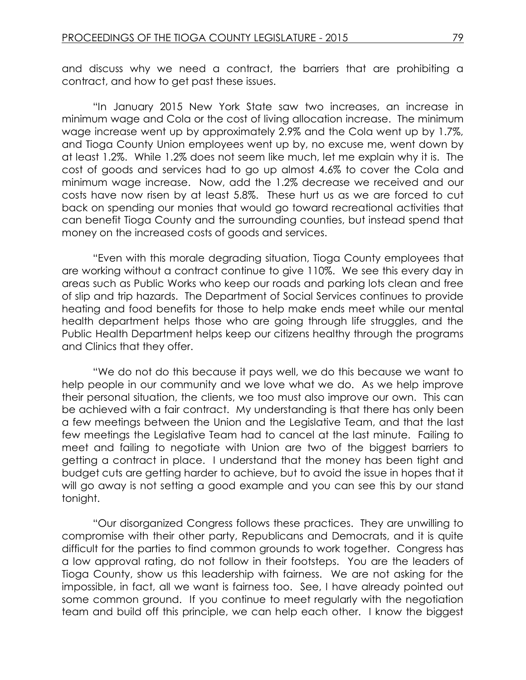and discuss why we need a contract, the barriers that are prohibiting a contract, and how to get past these issues.

"In January 2015 New York State saw two increases, an increase in minimum wage and Cola or the cost of living allocation increase. The minimum wage increase went up by approximately 2.9% and the Cola went up by 1.7%, and Tioga County Union employees went up by, no excuse me, went down by at least 1.2%. While 1.2% does not seem like much, let me explain why it is. The cost of goods and services had to go up almost 4.6% to cover the Cola and minimum wage increase. Now, add the 1.2% decrease we received and our costs have now risen by at least 5.8%. These hurt us as we are forced to cut back on spending our monies that would go toward recreational activities that can benefit Tioga County and the surrounding counties, but instead spend that money on the increased costs of goods and services.

"Even with this morale degrading situation, Tioga County employees that are working without a contract continue to give 110%. We see this every day in areas such as Public Works who keep our roads and parking lots clean and free of slip and trip hazards. The Department of Social Services continues to provide heating and food benefits for those to help make ends meet while our mental health department helps those who are going through life struggles, and the Public Health Department helps keep our citizens healthy through the programs and Clinics that they offer.

"We do not do this because it pays well, we do this because we want to help people in our community and we love what we do. As we help improve their personal situation, the clients, we too must also improve our own. This can be achieved with a fair contract. My understanding is that there has only been a few meetings between the Union and the Legislative Team, and that the last few meetings the Legislative Team had to cancel at the last minute. Failing to meet and failing to negotiate with Union are two of the biggest barriers to getting a contract in place. I understand that the money has been tight and budget cuts are getting harder to achieve, but to avoid the issue in hopes that it will go away is not setting a good example and you can see this by our stand tonight.

"Our disorganized Congress follows these practices. They are unwilling to compromise with their other party, Republicans and Democrats, and it is quite difficult for the parties to find common grounds to work together. Congress has a low approval rating, do not follow in their footsteps. You are the leaders of Tioga County, show us this leadership with fairness. We are not asking for the impossible, in fact, all we want is fairness too. See, I have already pointed out some common ground. If you continue to meet regularly with the negotiation team and build off this principle, we can help each other. I know the biggest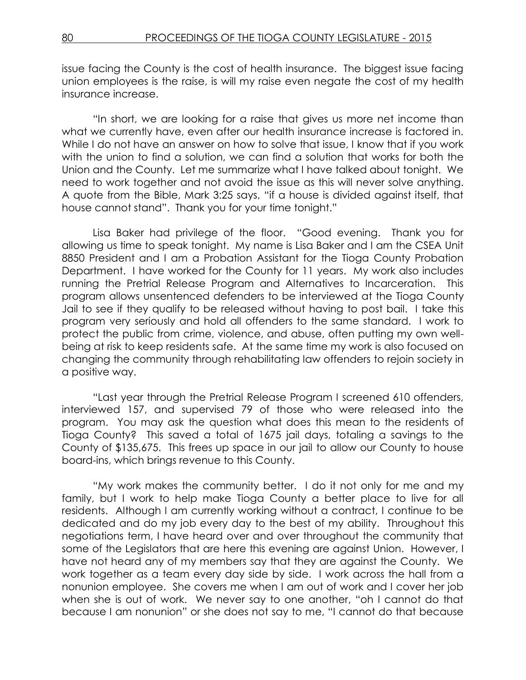issue facing the County is the cost of health insurance. The biggest issue facing union employees is the raise, is will my raise even negate the cost of my health insurance increase.

"In short, we are looking for a raise that gives us more net income than what we currently have, even after our health insurance increase is factored in. While I do not have an answer on how to solve that issue, I know that if you work with the union to find a solution, we can find a solution that works for both the Union and the County. Let me summarize what I have talked about tonight. We need to work together and not avoid the issue as this will never solve anything. A quote from the Bible, Mark 3:25 says, "if a house is divided against itself, that house cannot stand". Thank you for your time tonight."

Lisa Baker had privilege of the floor. "Good evening. Thank you for allowing us time to speak tonight. My name is Lisa Baker and I am the CSEA Unit 8850 President and I am a Probation Assistant for the Tioga County Probation Department. I have worked for the County for 11 years. My work also includes running the Pretrial Release Program and Alternatives to Incarceration. This program allows unsentenced defenders to be interviewed at the Tioga County Jail to see if they qualify to be released without having to post bail. I take this program very seriously and hold all offenders to the same standard. I work to protect the public from crime, violence, and abuse, often putting my own wellbeing at risk to keep residents safe. At the same time my work is also focused on changing the community through rehabilitating law offenders to rejoin society in a positive way.

"Last year through the Pretrial Release Program I screened 610 offenders, interviewed 157, and supervised 79 of those who were released into the program. You may ask the question what does this mean to the residents of Tioga County? This saved a total of 1675 jail days, totaling a savings to the County of \$135,675. This frees up space in our jail to allow our County to house board-ins, which brings revenue to this County.

"My work makes the community better. I do it not only for me and my family, but I work to help make Tioga County a better place to live for all residents. Although I am currently working without a contract, I continue to be dedicated and do my job every day to the best of my ability. Throughout this negotiations term, I have heard over and over throughout the community that some of the Legislators that are here this evening are against Union. However, I have not heard any of my members say that they are against the County. We work together as a team every day side by side. I work across the hall from a nonunion employee. She covers me when I am out of work and I cover her job when she is out of work. We never say to one another, "oh I cannot do that because I am nonunion" or she does not say to me, "I cannot do that because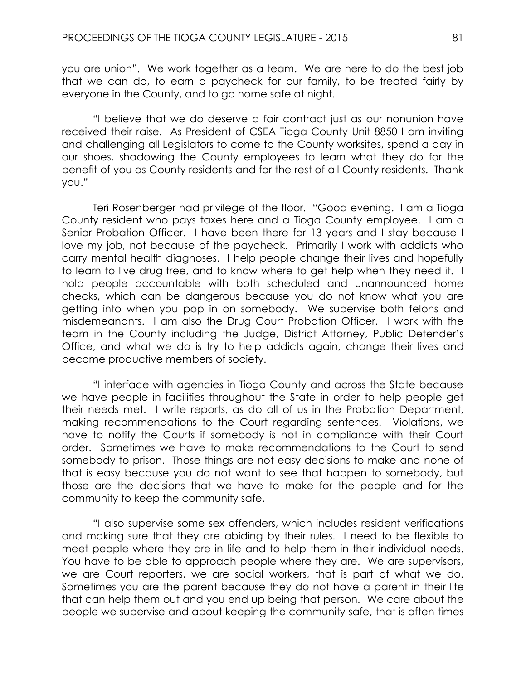you are union". We work together as a team. We are here to do the best job that we can do, to earn a paycheck for our family, to be treated fairly by everyone in the County, and to go home safe at night.

"I believe that we do deserve a fair contract just as our nonunion have received their raise. As President of CSEA Tioga County Unit 8850 I am inviting and challenging all Legislators to come to the County worksites, spend a day in our shoes, shadowing the County employees to learn what they do for the benefit of you as County residents and for the rest of all County residents. Thank you."

Teri Rosenberger had privilege of the floor. "Good evening. I am a Tioga County resident who pays taxes here and a Tioga County employee. I am a Senior Probation Officer. I have been there for 13 years and I stay because I love my job, not because of the paycheck. Primarily I work with addicts who carry mental health diagnoses. I help people change their lives and hopefully to learn to live drug free, and to know where to get help when they need it. I hold people accountable with both scheduled and unannounced home checks, which can be dangerous because you do not know what you are getting into when you pop in on somebody. We supervise both felons and misdemeanants. I am also the Drug Court Probation Officer. I work with the team in the County including the Judge, District Attorney, Public Defender's Office, and what we do is try to help addicts again, change their lives and become productive members of society.

"I interface with agencies in Tioga County and across the State because we have people in facilities throughout the State in order to help people get their needs met. I write reports, as do all of us in the Probation Department, making recommendations to the Court regarding sentences. Violations, we have to notify the Courts if somebody is not in compliance with their Court order. Sometimes we have to make recommendations to the Court to send somebody to prison. Those things are not easy decisions to make and none of that is easy because you do not want to see that happen to somebody, but those are the decisions that we have to make for the people and for the community to keep the community safe.

"I also supervise some sex offenders, which includes resident verifications and making sure that they are abiding by their rules. I need to be flexible to meet people where they are in life and to help them in their individual needs. You have to be able to approach people where they are. We are supervisors, we are Court reporters, we are social workers, that is part of what we do. Sometimes you are the parent because they do not have a parent in their life that can help them out and you end up being that person. We care about the people we supervise and about keeping the community safe, that is often times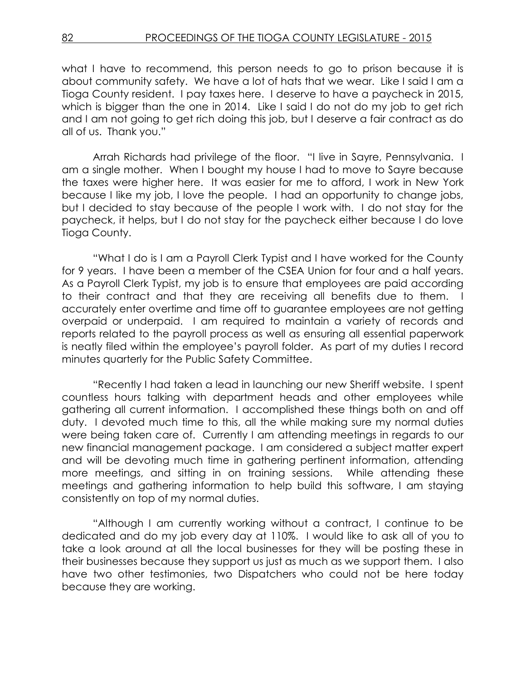what I have to recommend, this person needs to go to prison because it is about community safety. We have a lot of hats that we wear. Like I said I am a Tioga County resident. I pay taxes here. I deserve to have a paycheck in 2015, which is bigger than the one in 2014. Like I said I do not do my job to get rich and I am not going to get rich doing this job, but I deserve a fair contract as do all of us. Thank you."

Arrah Richards had privilege of the floor. "I live in Sayre, Pennsylvania. I am a single mother. When I bought my house I had to move to Sayre because the taxes were higher here. It was easier for me to afford, I work in New York because I like my job, I love the people. I had an opportunity to change jobs, but I decided to stay because of the people I work with. I do not stay for the paycheck, it helps, but I do not stay for the paycheck either because I do love Tioga County.

"What I do is I am a Payroll Clerk Typist and I have worked for the County for 9 years. I have been a member of the CSEA Union for four and a half years. As a Payroll Clerk Typist, my job is to ensure that employees are paid according to their contract and that they are receiving all benefits due to them. I accurately enter overtime and time off to guarantee employees are not getting overpaid or underpaid. I am required to maintain a variety of records and reports related to the payroll process as well as ensuring all essential paperwork is neatly filed within the employee's payroll folder. As part of my duties I record minutes quarterly for the Public Safety Committee.

"Recently I had taken a lead in launching our new Sheriff website. I spent countless hours talking with department heads and other employees while gathering all current information. I accomplished these things both on and off duty. I devoted much time to this, all the while making sure my normal duties were being taken care of. Currently I am attending meetings in regards to our new financial management package. I am considered a subject matter expert and will be devoting much time in gathering pertinent information, attending more meetings, and sitting in on training sessions. While attending these meetings and gathering information to help build this software, I am staying consistently on top of my normal duties.

"Although I am currently working without a contract, I continue to be dedicated and do my job every day at 110%. I would like to ask all of you to take a look around at all the local businesses for they will be posting these in their businesses because they support us just as much as we support them. I also have two other testimonies, two Dispatchers who could not be here today because they are working.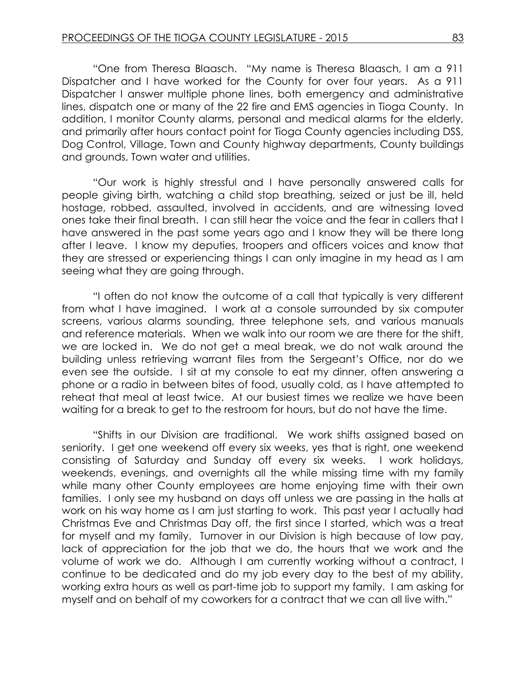"One from Theresa Blaasch. "My name is Theresa Blaasch, I am a 911 Dispatcher and I have worked for the County for over four years. As a 911 Dispatcher I answer multiple phone lines, both emergency and administrative lines, dispatch one or many of the 22 fire and EMS agencies in Tioga County. In addition, I monitor County alarms, personal and medical alarms for the elderly, and primarily after hours contact point for Tioga County agencies including DSS, Dog Control, Village, Town and County highway departments, County buildings and grounds, Town water and utilities.

"Our work is highly stressful and I have personally answered calls for people giving birth, watching a child stop breathing, seized or just be ill, held hostage, robbed, assaulted, involved in accidents, and are witnessing loved ones take their final breath. I can still hear the voice and the fear in callers that I have answered in the past some years ago and I know they will be there long after I leave. I know my deputies, troopers and officers voices and know that they are stressed or experiencing things I can only imagine in my head as I am seeing what they are going through.

"I often do not know the outcome of a call that typically is very different from what I have imagined. I work at a console surrounded by six computer screens, various alarms sounding, three telephone sets, and various manuals and reference materials. When we walk into our room we are there for the shift, we are locked in. We do not get a meal break, we do not walk around the building unless retrieving warrant files from the Sergeant's Office, nor do we even see the outside. I sit at my console to eat my dinner, often answering a phone or a radio in between bites of food, usually cold, as I have attempted to reheat that meal at least twice. At our busiest times we realize we have been waiting for a break to get to the restroom for hours, but do not have the time.

"Shifts in our Division are traditional. We work shifts assigned based on seniority. I get one weekend off every six weeks, yes that is right, one weekend consisting of Saturday and Sunday off every six weeks. I work holidays, weekends, evenings, and overnights all the while missing time with my family while many other County employees are home enjoying time with their own families. I only see my husband on days off unless we are passing in the halls at work on his way home as I am just starting to work. This past year I actually had Christmas Eve and Christmas Day off, the first since I started, which was a treat for myself and my family. Turnover in our Division is high because of low pay, lack of appreciation for the job that we do, the hours that we work and the volume of work we do. Although I am currently working without a contract, I continue to be dedicated and do my job every day to the best of my ability, working extra hours as well as part-time job to support my family. I am asking for myself and on behalf of my coworkers for a contract that we can all live with."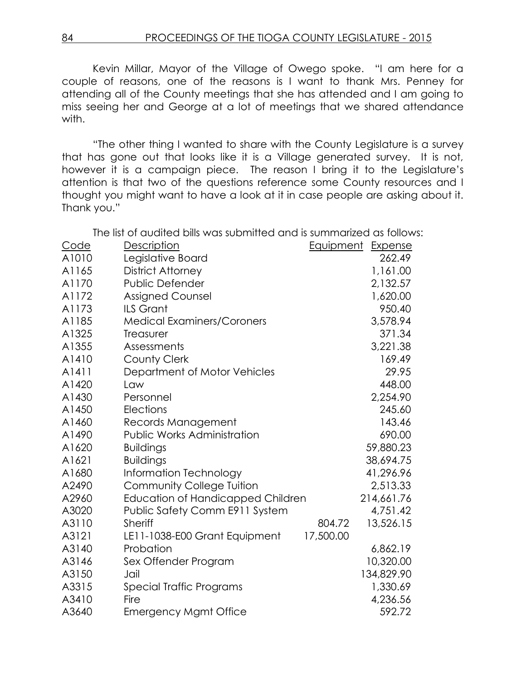Kevin Millar, Mayor of the Village of Owego spoke. "I am here for a couple of reasons, one of the reasons is I want to thank Mrs. Penney for attending all of the County meetings that she has attended and I am going to miss seeing her and George at a lot of meetings that we shared attendance with.

"The other thing I wanted to share with the County Legislature is a survey that has gone out that looks like it is a Village generated survey. It is not, however it is a campaign piece. The reason I bring it to the Legislature's attention is that two of the questions reference some County resources and I thought you might want to have a look at it in case people are asking about it. Thank you."

The list of audited bills was submitted and is summarized as follows:

| Code  | <b>Description</b>                       | <b>Equipment Expense</b> |            |
|-------|------------------------------------------|--------------------------|------------|
| A1010 | Legislative Board                        |                          | 262.49     |
| A1165 | <b>District Attorney</b>                 |                          | 1,161.00   |
| A1170 | <b>Public Defender</b>                   |                          | 2,132.57   |
| A1172 | <b>Assigned Counsel</b>                  |                          | 1,620.00   |
| A1173 | <b>ILS Grant</b>                         |                          | 950.40     |
| A1185 | <b>Medical Examiners/Coroners</b>        |                          | 3,578.94   |
| A1325 | Treasurer                                |                          | 371.34     |
| A1355 | Assessments                              |                          | 3,221.38   |
| A1410 | <b>County Clerk</b>                      |                          | 169.49     |
| A1411 | Department of Motor Vehicles             |                          | 29.95      |
| A1420 | Law                                      |                          | 448.00     |
| A1430 | Personnel                                |                          | 2,254.90   |
| A1450 | Elections                                |                          | 245.60     |
| A1460 | Records Management                       |                          | 143.46     |
| A1490 | <b>Public Works Administration</b>       |                          | 690.00     |
| A1620 | <b>Buildings</b>                         |                          | 59,880.23  |
| A1621 | <b>Buildings</b>                         |                          | 38,694.75  |
| A1680 | Information Technology                   |                          | 41,296.96  |
| A2490 | <b>Community College Tuition</b>         |                          | 2,513.33   |
| A2960 | <b>Education of Handicapped Children</b> |                          | 214,661.76 |
| A3020 | Public Safety Comm E911 System           |                          | 4,751.42   |
| A3110 | Sheriff                                  | 804.72                   | 13,526.15  |
| A3121 | LE11-1038-E00 Grant Equipment            | 17,500.00                |            |
| A3140 | Probation                                |                          | 6,862.19   |
| A3146 | Sex Offender Program                     |                          | 10,320.00  |
| A3150 | Jail                                     |                          | 134,829.90 |
| A3315 | Special Traffic Programs                 |                          | 1,330.69   |
| A3410 | Fire                                     |                          | 4,236.56   |
| A3640 | <b>Emergency Mgmt Office</b>             |                          | 592.72     |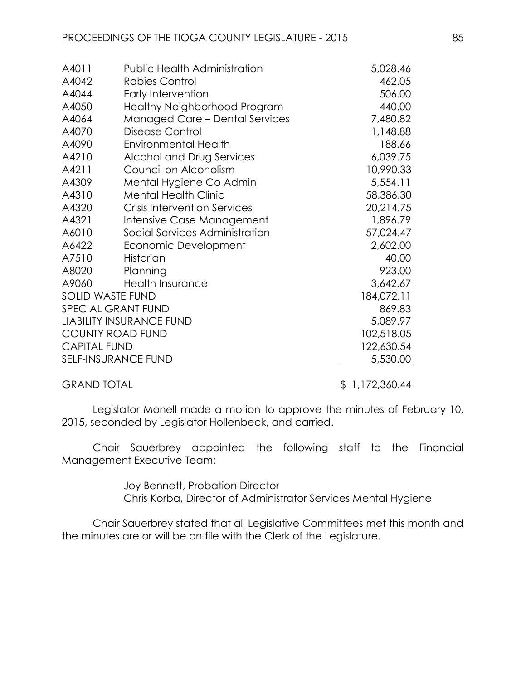| A4011               | <b>Public Health Administration</b>   | 5,028.46   |
|---------------------|---------------------------------------|------------|
| A4042               | <b>Rabies Control</b>                 | 462.05     |
| A4044               | Early Intervention                    | 506.00     |
| A4050               | Healthy Neighborhood Program          | 440.00     |
| A4064               | <b>Managed Care - Dental Services</b> | 7,480.82   |
| A4070               | Disease Control                       | 1,148.88   |
| A4090               | <b>Environmental Health</b>           | 188.66     |
| A4210               | Alcohol and Drug Services             | 6,039.75   |
| A4211               | Council on Alcoholism                 | 10,990.33  |
| A4309               | Mental Hygiene Co Admin               | 5,554.11   |
| A4310               | <b>Mental Health Clinic</b>           | 58,386.30  |
| A4320               | <b>Crisis Intervention Services</b>   | 20,214.75  |
| A4321               | Intensive Case Management             | 1,896.79   |
| A6010               | Social Services Administration        | 57,024.47  |
| A6422               | Economic Development                  | 2,602.00   |
| A7510               | Historian                             | 40.00      |
| A8020               | Planning                              | 923.00     |
| A9060               | <b>Health Insurance</b>               | 3,642.67   |
|                     | <b>SOLID WASTE FUND</b>               | 184,072.11 |
|                     | SPECIAL GRANT FUND                    | 869.83     |
|                     | <b>LIABILITY INSURANCE FUND</b>       | 5,089.97   |
|                     | <b>COUNTY ROAD FUND</b>               | 102,518.05 |
| <b>CAPITAL FUND</b> |                                       | 122,630.54 |
|                     | <b>SELF-INSURANCE FUND</b>            | 5,530.00   |
|                     |                                       |            |

GRAND TOTAL \$ 1,172,360.44

Legislator Monell made a motion to approve the minutes of February 10, 2015, seconded by Legislator Hollenbeck, and carried.

Chair Sauerbrey appointed the following staff to the Financial Management Executive Team:

> Joy Bennett, Probation Director Chris Korba, Director of Administrator Services Mental Hygiene

Chair Sauerbrey stated that all Legislative Committees met this month and the minutes are or will be on file with the Clerk of the Legislature.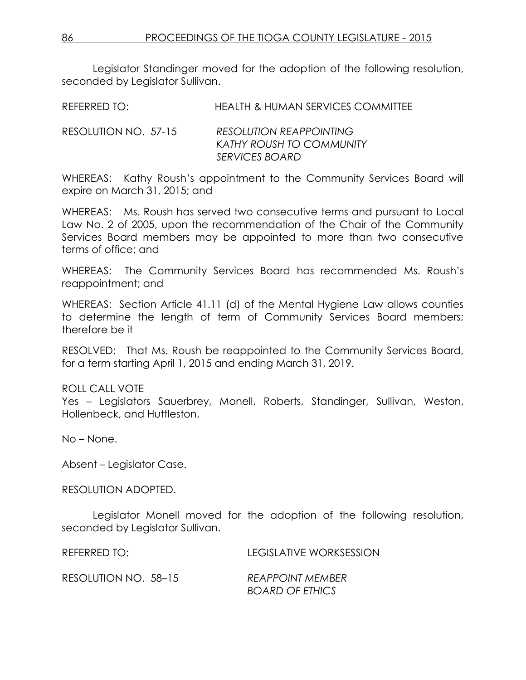Legislator Standinger moved for the adoption of the following resolution, seconded by Legislator Sullivan.

REFERRED TO: HEALTH & HUMAN SERVICES COMMITTEE

RESOLUTION NO. 57-15 *RESOLUTION REAPPOINTING KATHY ROUSH TO COMMUNITY SERVICES BOARD*

WHEREAS: Kathy Roush's appointment to the Community Services Board will expire on March 31, 2015; and

WHEREAS: Ms. Roush has served two consecutive terms and pursuant to Local Law No. 2 of 2005, upon the recommendation of the Chair of the Community Services Board members may be appointed to more than two consecutive terms of office; and

WHEREAS: The Community Services Board has recommended Ms. Roush's reappointment; and

WHEREAS: Section Article 41.11 (d) of the Mental Hygiene Law allows counties to determine the length of term of Community Services Board members; therefore be it

RESOLVED: That Ms. Roush be reappointed to the Community Services Board, for a term starting April 1, 2015 and ending March 31, 2019.

## ROLL CALL VOTE

Yes – Legislators Sauerbrey, Monell, Roberts, Standinger, Sullivan, Weston, Hollenbeck, and Huttleston.

No – None.

Absent – Legislator Case.

RESOLUTION ADOPTED.

Legislator Monell moved for the adoption of the following resolution, seconded by Legislator Sullivan.

REFERRED TO: LEGISLATIVE WORKSESSION

RESOLUTION NO. 58–15 *REAPPOINT MEMBER*

*BOARD OF ETHICS*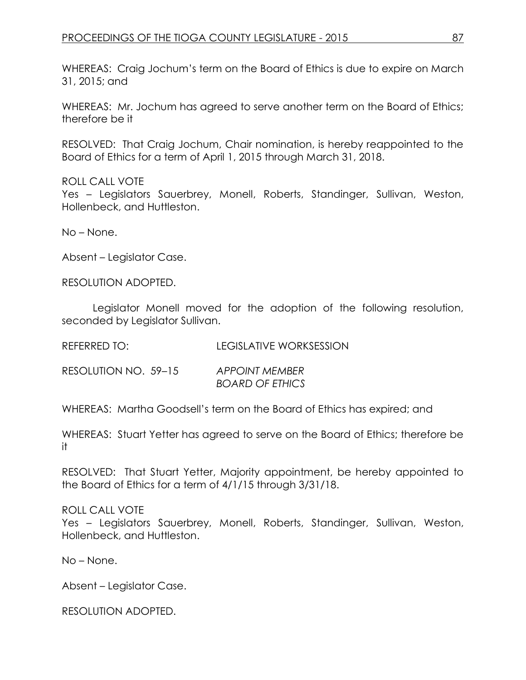WHEREAS: Craig Jochum's term on the Board of Ethics is due to expire on March 31, 2015; and

WHEREAS: Mr. Jochum has agreed to serve another term on the Board of Ethics; therefore be it

RESOLVED: That Craig Jochum, Chair nomination, is hereby reappointed to the Board of Ethics for a term of April 1, 2015 through March 31, 2018.

### ROLL CALL VOTE

Yes – Legislators Sauerbrey, Monell, Roberts, Standinger, Sullivan, Weston, Hollenbeck, and Huttleston.

No – None.

Absent – Legislator Case.

RESOLUTION ADOPTED.

Legislator Monell moved for the adoption of the following resolution, seconded by Legislator Sullivan.

REFERRED TO: LEGISLATIVE WORKSESSION

RESOLUTION NO. 59–15 *APPOINT MEMBER BOARD OF ETHICS*

WHEREAS: Martha Goodsell's term on the Board of Ethics has expired; and

WHEREAS: Stuart Yetter has agreed to serve on the Board of Ethics; therefore be it

RESOLVED: That Stuart Yetter, Majority appointment, be hereby appointed to the Board of Ethics for a term of 4/1/15 through 3/31/18.

ROLL CALL VOTE

Yes – Legislators Sauerbrey, Monell, Roberts, Standinger, Sullivan, Weston, Hollenbeck, and Huttleston.

No – None.

Absent – Legislator Case.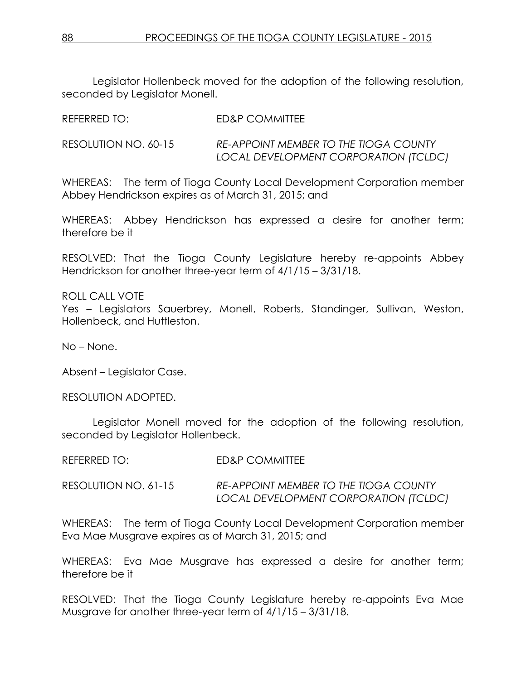Legislator Hollenbeck moved for the adoption of the following resolution, seconded by Legislator Monell.

| RESOLUTION NO. 60-15 | <b>RE-APPOINT MEMBER TO THE TIOGA COUNTY</b> |
|----------------------|----------------------------------------------|
|                      | LOCAL DEVELOPMENT CORPORATION (TCLDC)        |

WHEREAS: The term of Tioga County Local Development Corporation member Abbey Hendrickson expires as of March 31, 2015; and

WHEREAS: Abbey Hendrickson has expressed a desire for another term; therefore be it

RESOLVED: That the Tioga County Legislature hereby re-appoints Abbey Hendrickson for another three-year term of 4/1/15 – 3/31/18.

ROLL CALL VOTE Yes – Legislators Sauerbrey, Monell, Roberts, Standinger, Sullivan, Weston, Hollenbeck, and Huttleston.

No – None.

Absent – Legislator Case.

RESOLUTION ADOPTED.

Legislator Monell moved for the adoption of the following resolution, seconded by Legislator Hollenbeck.

| REFERRED TO: | <b>ED&amp;P COMMITTEE</b> |
|--------------|---------------------------|
|              |                           |

REFERRED TO: ED&P COMMITTEE

RESOLUTION NO. 61-15 *RE-APPOINT MEMBER TO THE TIOGA COUNTY LOCAL DEVELOPMENT CORPORATION (TCLDC)*

WHEREAS: The term of Tioga County Local Development Corporation member Eva Mae Musgrave expires as of March 31, 2015; and

WHEREAS: Eva Mae Musgrave has expressed a desire for another term; therefore be it

RESOLVED: That the Tioga County Legislature hereby re-appoints Eva Mae Musgrave for another three-year term of 4/1/15 – 3/31/18.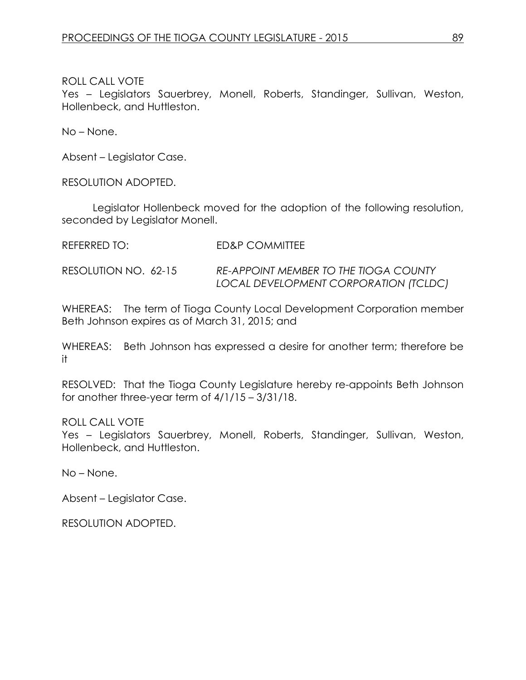Yes – Legislators Sauerbrey, Monell, Roberts, Standinger, Sullivan, Weston, Hollenbeck, and Huttleston.

No – None.

Absent – Legislator Case.

RESOLUTION ADOPTED.

Legislator Hollenbeck moved for the adoption of the following resolution, seconded by Legislator Monell.

REFERRED TO: ED&P COMMITTEE

RESOLUTION NO. 62-15 *RE-APPOINT MEMBER TO THE TIOGA COUNTY LOCAL DEVELOPMENT CORPORATION (TCLDC)*

WHEREAS: The term of Tioga County Local Development Corporation member Beth Johnson expires as of March 31, 2015; and

WHEREAS: Beth Johnson has expressed a desire for another term; therefore be it

RESOLVED: That the Tioga County Legislature hereby re-appoints Beth Johnson for another three-year term of 4/1/15 – 3/31/18.

ROLL CALL VOTE

Yes – Legislators Sauerbrey, Monell, Roberts, Standinger, Sullivan, Weston, Hollenbeck, and Huttleston.

No – None.

Absent – Legislator Case.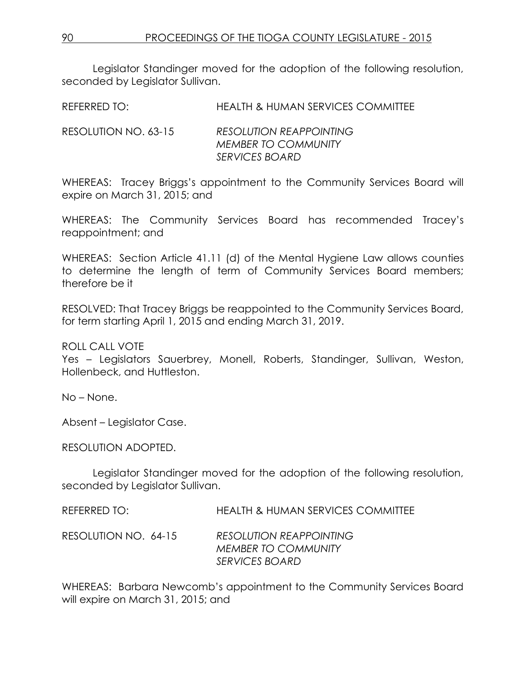Legislator Standinger moved for the adoption of the following resolution, seconded by Legislator Sullivan.

REFERRED TO: HEALTH & HUMAN SERVICES COMMITTEE

RESOLUTION NO. 63-15 *RESOLUTION REAPPOINTING MEMBER TO COMMUNITY SERVICES BOARD*

WHEREAS: Tracey Briggs's appointment to the Community Services Board will expire on March 31, 2015; and

WHEREAS: The Community Services Board has recommended Tracey's reappointment; and

WHEREAS: Section Article 41.11 (d) of the Mental Hygiene Law allows counties to determine the length of term of Community Services Board members; therefore be it

RESOLVED: That Tracey Briggs be reappointed to the Community Services Board, for term starting April 1, 2015 and ending March 31, 2019.

ROLL CALL VOTE

Yes – Legislators Sauerbrey, Monell, Roberts, Standinger, Sullivan, Weston, Hollenbeck, and Huttleston.

No – None.

Absent – Legislator Case.

RESOLUTION ADOPTED.

Legislator Standinger moved for the adoption of the following resolution, seconded by Legislator Sullivan.

| REFERRED TO:         | HEALTH & HUMAN SERVICES COMMITTEE                                              |
|----------------------|--------------------------------------------------------------------------------|
| RESOLUTION NO. 64-15 | <b>RESOLUTION REAPPOINTING</b><br><b>MEMBER TO COMMUNITY</b><br>SERVICES BOARD |

WHEREAS: Barbara Newcomb's appointment to the Community Services Board will expire on March 31, 2015; and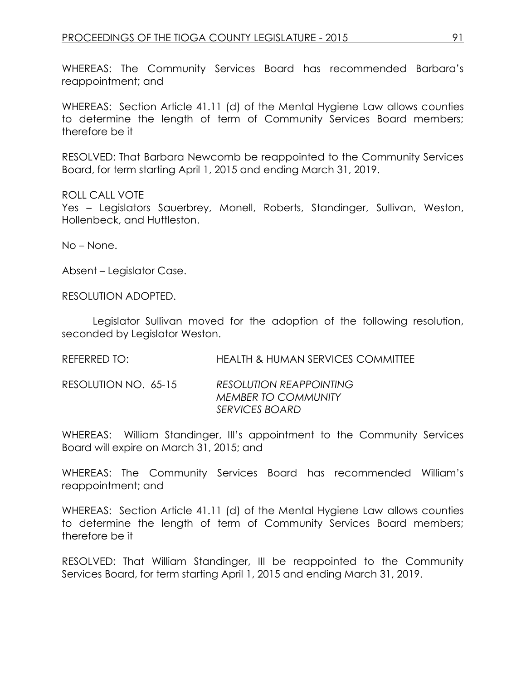WHEREAS: The Community Services Board has recommended Barbara's reappointment; and

WHEREAS: Section Article 41.11 (d) of the Mental Hygiene Law allows counties to determine the length of term of Community Services Board members; therefore be it

RESOLVED: That Barbara Newcomb be reappointed to the Community Services Board, for term starting April 1, 2015 and ending March 31, 2019.

### ROLL CALL VOTE

Yes – Legislators Sauerbrey, Monell, Roberts, Standinger, Sullivan, Weston, Hollenbeck, and Huttleston.

No – None.

Absent – Legislator Case.

RESOLUTION ADOPTED.

Legislator Sullivan moved for the adoption of the following resolution, seconded by Legislator Weston.

REFERRED TO: HEALTH & HUMAN SERVICES COMMITTEE

RESOLUTION NO. 65-15 *RESOLUTION REAPPOINTING MEMBER TO COMMUNITY SERVICES BOARD*

WHEREAS: William Standinger, III's appointment to the Community Services Board will expire on March 31, 2015; and

WHEREAS: The Community Services Board has recommended William's reappointment; and

WHEREAS: Section Article 41.11 (d) of the Mental Hygiene Law allows counties to determine the length of term of Community Services Board members; therefore be it

RESOLVED: That William Standinger, III be reappointed to the Community Services Board, for term starting April 1, 2015 and ending March 31, 2019.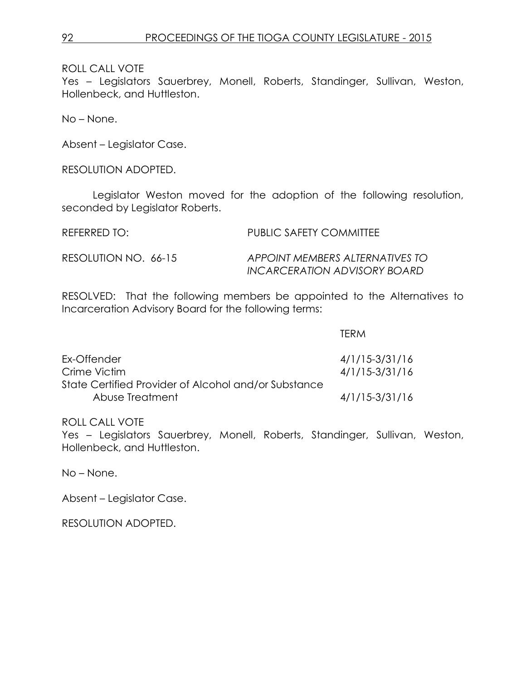Yes – Legislators Sauerbrey, Monell, Roberts, Standinger, Sullivan, Weston, Hollenbeck, and Huttleston.

No – None.

Absent – Legislator Case.

RESOLUTION ADOPTED.

Legislator Weston moved for the adoption of the following resolution, seconded by Legislator Roberts.

REFERRED TO: PUBLIC SAFETY COMMITTEE RESOLUTION NO. 66-15 *APPOINT MEMBERS ALTERNATIVES TO INCARCERATION ADVISORY BOARD*

RESOLVED: That the following members be appointed to the Alternatives to Incarceration Advisory Board for the following terms:

TERM

| Ex-Offender                                          | $4/1/15-3/31/16$ |
|------------------------------------------------------|------------------|
| Crime Victim                                         | $4/1/15-3/31/16$ |
| State Certified Provider of Alcohol and/or Substance |                  |
| Abuse Treatment                                      | $4/1/15-3/31/16$ |

#### ROLL CALL VOTE

Yes – Legislators Sauerbrey, Monell, Roberts, Standinger, Sullivan, Weston, Hollenbeck, and Huttleston.

No – None.

Absent – Legislator Case.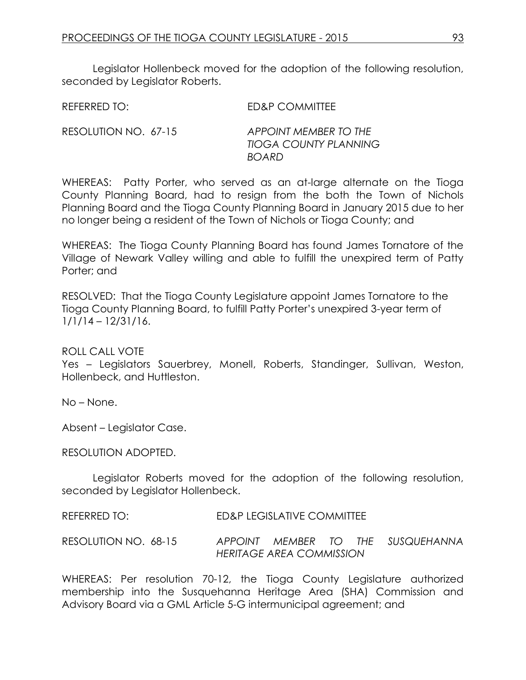Legislator Hollenbeck moved for the adoption of the following resolution, seconded by Leaislator Roberts.

REFERRED TO: ED&P COMMITTEE

RESOLUTION NO. 67-15 *APPOINT MEMBER TO THE TIOGA COUNTY PLANNING BOARD*

WHEREAS: Patty Porter, who served as an at-large alternate on the Tioga County Planning Board, had to resign from the both the Town of Nichols Planning Board and the Tioga County Planning Board in January 2015 due to her no longer being a resident of the Town of Nichols or Tioga County; and

WHEREAS: The Tioga County Planning Board has found James Tornatore of the Village of Newark Valley willing and able to fulfill the unexpired term of Patty Porter; and

RESOLVED: That the Tioga County Legislature appoint James Tornatore to the Tioga County Planning Board, to fulfill Patty Porter's unexpired 3-year term of 1/1/14 – 12/31/16.

ROLL CALL VOTE

Yes – Legislators Sauerbrey, Monell, Roberts, Standinger, Sullivan, Weston, Hollenbeck, and Huttleston.

No – None.

Absent – Legislator Case.

RESOLUTION ADOPTED.

Legislator Roberts moved for the adoption of the following resolution, seconded by Legislator Hollenbeck.

REFERRED TO: ED&P LEGISLATIVE COMMITTEE

RESOLUTION NO. 68-15 *APPOINT MEMBER TO THE SUSQUEHANNA HERITAGE AREA COMMISSION*

WHEREAS: Per resolution 70-12, the Tioga County Legislature authorized membership into the Susquehanna Heritage Area (SHA) Commission and Advisory Board via a GML Article 5-G intermunicipal agreement; and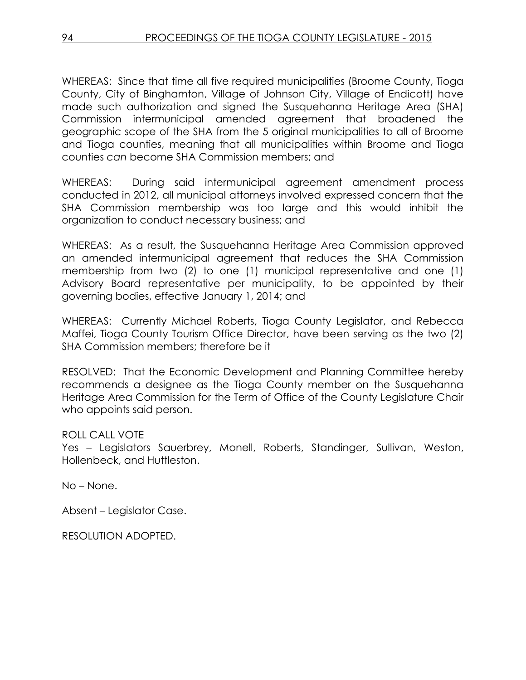WHEREAS: Since that time all five required municipalities (Broome County, Tioga County, City of Binghamton, Village of Johnson City, Village of Endicott) have made such authorization and signed the Susquehanna Heritage Area (SHA) Commission intermunicipal amended agreement that broadened the geographic scope of the SHA from the 5 original municipalities to all of Broome and Tioga counties, meaning that all municipalities within Broome and Tioga counties *can* become SHA Commission members; and

WHEREAS: During said intermunicipal agreement amendment process conducted in 2012, all municipal attorneys involved expressed concern that the SHA Commission membership was too large and this would inhibit the organization to conduct necessary business; and

WHEREAS: As a result, the Susquehanna Heritage Area Commission approved an amended intermunicipal agreement that reduces the SHA Commission membership from two (2) to one (1) municipal representative and one (1) Advisory Board representative per municipality, to be appointed by their governing bodies, effective January 1, 2014; and

WHEREAS: Currently Michael Roberts, Tioga County Legislator, and Rebecca Maffei, Tioga County Tourism Office Director, have been serving as the two (2) SHA Commission members; therefore be it

RESOLVED: That the Economic Development and Planning Committee hereby recommends a designee as the Tioga County member on the Susquehanna Heritage Area Commission for the Term of Office of the County Legislature Chair who appoints said person.

## ROLL CALL VOTE

Yes – Legislators Sauerbrey, Monell, Roberts, Standinger, Sullivan, Weston, Hollenbeck, and Huttleston.

No – None.

Absent – Legislator Case.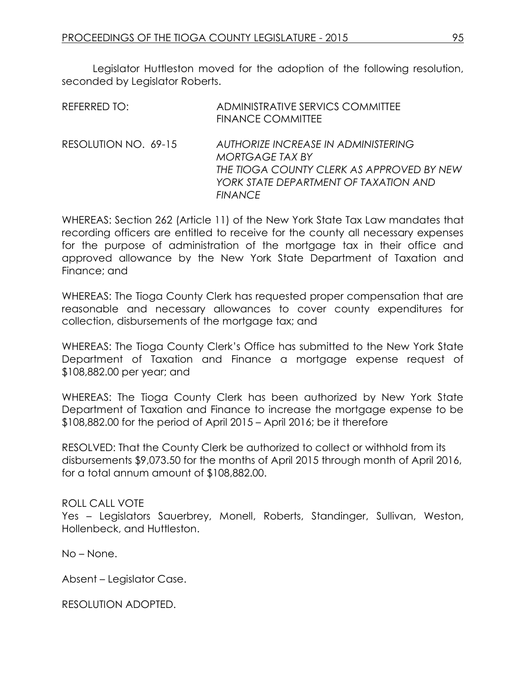Legislator Huttleston moved for the adoption of the following resolution, seconded by Legislator Roberts.

| REFERRED TO:         | ADMINISTRATIVE SERVICS COMMITTEE<br><b>FINANCE COMMITTEE</b>                                                                                                   |
|----------------------|----------------------------------------------------------------------------------------------------------------------------------------------------------------|
| RESOLUTION NO. 69-15 | AUTHORIZE INCREASE IN ADMINISTERING<br>MORTGAGE TAX BY<br>THE TIOGA COUNTY CLERK AS APPROVED BY NEW<br>YORK STATE DEPARTMENT OF TAXATION AND<br><b>FINANCE</b> |

WHEREAS: Section 262 (Article 11) of the New York State Tax Law mandates that recording officers are entitled to receive for the county all necessary expenses for the purpose of administration of the mortgage tax in their office and approved allowance by the New York State Department of Taxation and Finance; and

WHEREAS: The Tioga County Clerk has requested proper compensation that are reasonable and necessary allowances to cover county expenditures for collection, disbursements of the mortgage tax; and

WHEREAS: The Tioga County Clerk's Office has submitted to the New York State Department of Taxation and Finance a mortgage expense request of \$108,882.00 per year; and

WHEREAS: The Tioga County Clerk has been authorized by New York State Department of Taxation and Finance to increase the mortgage expense to be \$108,882.00 for the period of April 2015 – April 2016; be it therefore

RESOLVED: That the County Clerk be authorized to collect or withhold from its disbursements \$9,073.50 for the months of April 2015 through month of April 2016, for a total annum amount of \$108,882.00.

## ROLL CALL VOTE

Yes – Legislators Sauerbrey, Monell, Roberts, Standinger, Sullivan, Weston, Hollenbeck, and Huttleston.

No – None.

Absent – Legislator Case.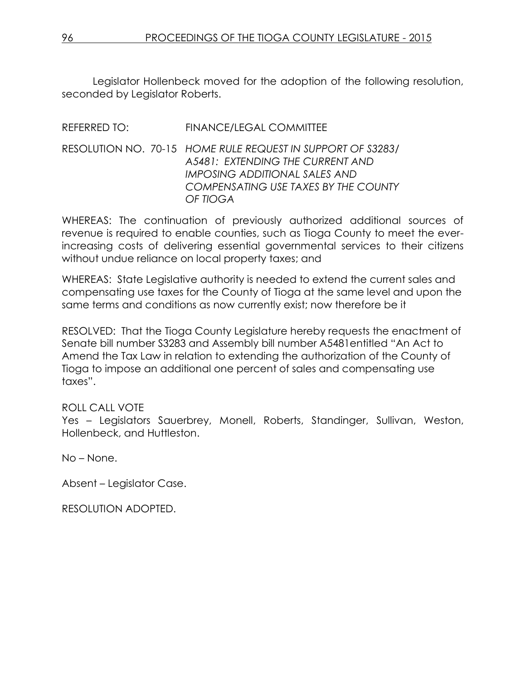Legislator Hollenbeck moved for the adoption of the following resolution, seconded by Legislator Roberts.

## REFERRED TO: FINANCE/LEGAL COMMITTEE

#### RESOLUTION NO. 70-15 *HOME RULE REQUEST IN SUPPORT OF S3283/ A5481: EXTENDING THE CURRENT AND IMPOSING ADDITIONAL SALES AND COMPENSATING USE TAXES BY THE COUNTY OF TIOGA*

WHEREAS: The continuation of previously authorized additional sources of revenue is required to enable counties, such as Tioga County to meet the everincreasing costs of delivering essential governmental services to their citizens without undue reliance on local property taxes; and

WHEREAS: State Legislative authority is needed to extend the current sales and compensating use taxes for the County of Tioga at the same level and upon the same terms and conditions as now currently exist; now therefore be it

RESOLVED: That the Tioga County Legislature hereby requests the enactment of Senate bill number S3283 and Assembly bill number A5481entitled "An Act to Amend the Tax Law in relation to extending the authorization of the County of Tioga to impose an additional one percent of sales and compensating use taxes".

## ROLL CALL VOTE

Yes – Legislators Sauerbrey, Monell, Roberts, Standinger, Sullivan, Weston, Hollenbeck, and Huttleston.

No – None.

Absent – Legislator Case.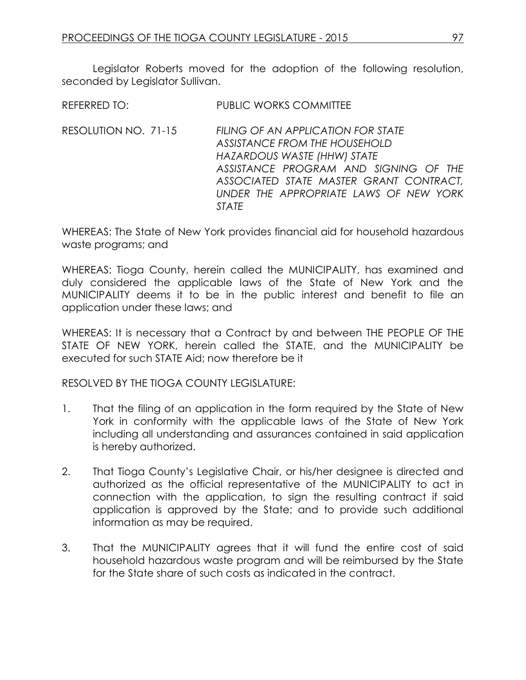Legislator Roberts moved for the adoption of the following resolution, seconded by Leaislator Sullivan.

REFERRED TO: PUBLIC WORKS COMMITTEE

RESOLUTION NO. 71-15 *FILING OF AN APPLICATION FOR STATE ASSISTANCE FROM THE HOUSEHOLD HAZARDOUS WASTE (HHW) STATE ASSISTANCE PROGRAM AND SIGNING OF THE ASSOCIATED STATE MASTER GRANT CONTRACT, UNDER THE APPROPRIATE LAWS OF NEW YORK STATE*

WHEREAS: The State of New York provides financial aid for household hazardous waste programs; and

WHEREAS: Tioga County, herein called the MUNICIPALITY, has examined and duly considered the applicable laws of the State of New York and the MUNICIPALITY deems it to be in the public interest and benefit to file an application under these laws; and

WHEREAS: It is necessary that a Contract by and between THE PEOPLE OF THE STATE OF NEW YORK, herein called the STATE, and the MUNICIPALITY be executed for such STATE Aid; now therefore be it

RESOLVED BY THE TIOGA COUNTY LEGISLATURE:

- 1. That the filing of an application in the form required by the State of New York in conformity with the applicable laws of the State of New York including all understanding and assurances contained in said application is hereby authorized.
- 2. That Tioga County's Legislative Chair, or his/her designee is directed and authorized as the official representative of the MUNICIPALITY to act in connection with the application, to sign the resulting contract if said application is approved by the State; and to provide such additional information as may be required.
- 3. That the MUNICIPALITY agrees that it will fund the entire cost of said household hazardous waste program and will be reimbursed by the State for the State share of such costs as indicated in the contract.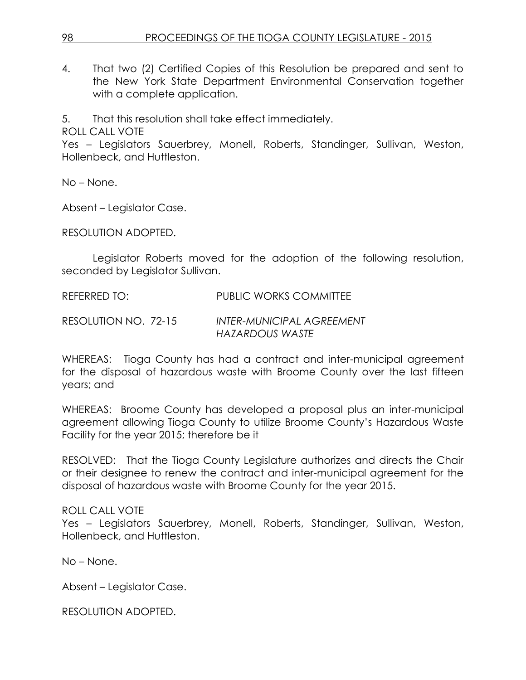4. That two (2) Certified Copies of this Resolution be prepared and sent to the New York State Department Environmental Conservation together with a complete application.

5. That this resolution shall take effect immediately.

ROLL CALL VOTE

Yes – Legislators Sauerbrey, Monell, Roberts, Standinger, Sullivan, Weston, Hollenbeck, and Huttleston.

No – None.

Absent – Legislator Case.

RESOLUTION ADOPTED.

Legislator Roberts moved for the adoption of the following resolution, seconded by Legislator Sullivan.

REFERRED TO: PUBLIC WORKS COMMITTEE

RESOLUTION NO. 72-15 *INTER-MUNICIPAL AGREEMENT HAZARDOUS WASTE*

WHEREAS: Tioga County has had a contract and inter-municipal agreement for the disposal of hazardous waste with Broome County over the last fifteen years; and

WHEREAS: Broome County has developed a proposal plus an inter-municipal agreement allowing Tioga County to utilize Broome County's Hazardous Waste Facility for the year 2015; therefore be it

RESOLVED: That the Tioga County Legislature authorizes and directs the Chair or their designee to renew the contract and inter-municipal agreement for the disposal of hazardous waste with Broome County for the year 2015.

## ROLL CALL VOTE

Yes – Legislators Sauerbrey, Monell, Roberts, Standinger, Sullivan, Weston, Hollenbeck, and Huttleston.

No – None.

Absent – Legislator Case.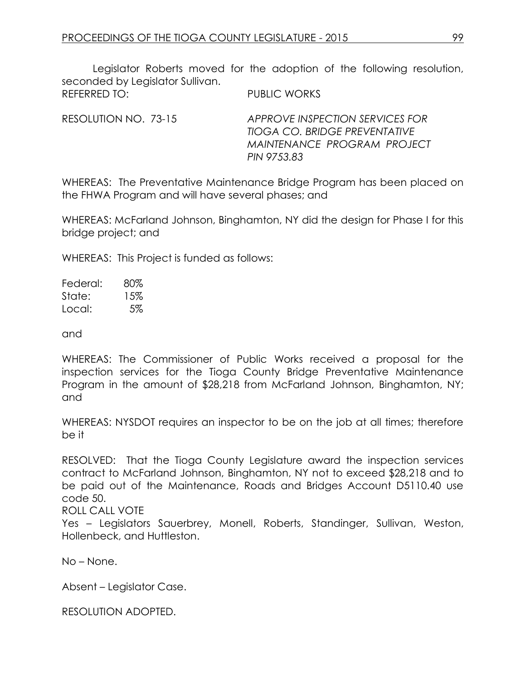Legislator Roberts moved for the adoption of the following resolution, seconded by Legislator Sullivan. REFERRED TO: PUBLIC WORKS

RESOLUTION NO. 73-15 *APPROVE INSPECTION SERVICES FOR TIOGA CO. BRIDGE PREVENTATIVE MAINTENANCE PROGRAM PROJECT PIN 9753.83* 

WHEREAS: The Preventative Maintenance Bridge Program has been placed on the FHWA Program and will have several phases; and

WHEREAS: McFarland Johnson, Binghamton, NY did the design for Phase I for this bridge project; and

WHEREAS: This Project is funded as follows:

Federal: 80% State: 15% Local: 5%

and

WHEREAS: The Commissioner of Public Works received a proposal for the inspection services for the Tioga County Bridge Preventative Maintenance Program in the amount of \$28,218 from McFarland Johnson, Binghamton, NY; and

WHEREAS: NYSDOT requires an inspector to be on the job at all times; therefore be it

RESOLVED: That the Tioga County Legislature award the inspection services contract to McFarland Johnson, Binghamton, NY not to exceed \$28,218 and to be paid out of the Maintenance, Roads and Bridges Account D5110.40 use code 50.

ROLL CALL VOTE

Yes – Legislators Sauerbrey, Monell, Roberts, Standinger, Sullivan, Weston, Hollenbeck, and Huttleston.

No – None.

Absent – Legislator Case.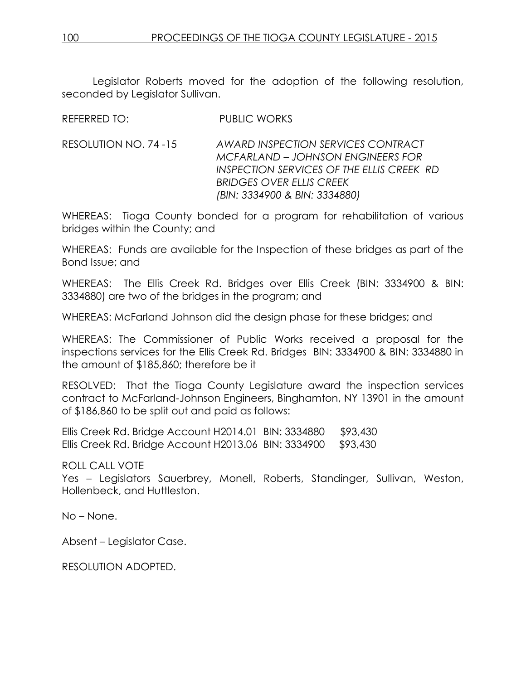Legislator Roberts moved for the adoption of the following resolution, seconded by Legislator Sullivan.

REFERRED TO: PUBLIC WORKS

RESOLUTION NO. 74 -15 *AWARD INSPECTION SERVICES CONTRACT MCFARLAND – JOHNSON ENGINEERS FOR INSPECTION SERVICES OF THE ELLIS CREEK RD BRIDGES OVER ELLIS CREEK (BIN: 3334900 & BIN: 3334880)* 

WHEREAS: Tioga County bonded for a program for rehabilitation of various bridges within the County; and

WHEREAS: Funds are available for the Inspection of these bridges as part of the Bond Issue; and

WHEREAS: The Ellis Creek Rd. Bridges over Ellis Creek (BIN: 3334900 & BIN: 3334880) are two of the bridges in the program; and

WHEREAS: McFarland Johnson did the design phase for these bridges; and

WHEREAS: The Commissioner of Public Works received a proposal for the inspections services for the Ellis Creek Rd. Bridges BIN: 3334900 & BIN: 3334880 in the amount of \$185,860; therefore be it

RESOLVED: That the Tioga County Legislature award the inspection services contract to McFarland-Johnson Engineers, Binghamton, NY 13901 in the amount of \$186,860 to be split out and paid as follows:

Ellis Creek Rd. Bridge Account H2014.01 BIN: 3334880 \$93,430 Ellis Creek Rd. Bridge Account H2013.06 BIN: 3334900 \$93,430

ROLL CALL VOTE

Yes – Legislators Sauerbrey, Monell, Roberts, Standinger, Sullivan, Weston, Hollenbeck, and Huttleston.

No – None.

Absent – Legislator Case.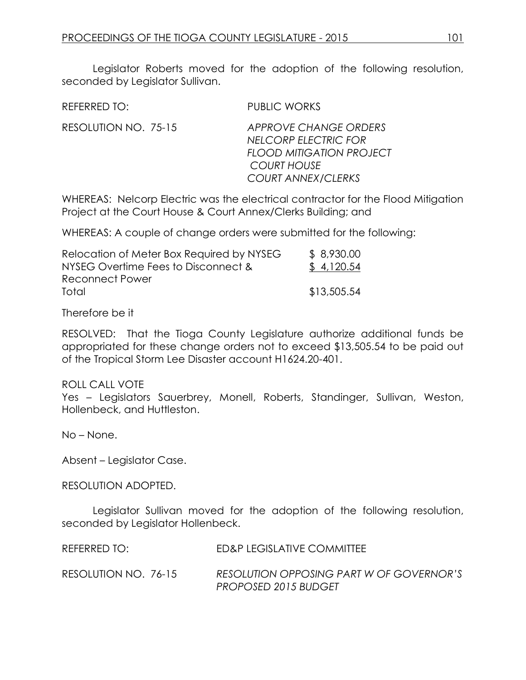Legislator Roberts moved for the adoption of the following resolution, seconded by Legislator Sullivan.

REFERRED TO: PUBLIC WORKS

RESOLUTION NO. 75-15 *APPROVE CHANGE ORDERS NELCORP ELECTRIC FOR FLOOD MITIGATION PROJECT COURT HOUSE COURT ANNEX/CLERKS*

WHEREAS: Nelcorp Electric was the electrical contractor for the Flood Mitigation Project at the Court House & Court Annex/Clerks Building; and

WHEREAS: A couple of change orders were submitted for the following:

| Relocation of Meter Box Required by NYSEG | \$8,930.00  |
|-------------------------------------------|-------------|
| NYSEG Overtime Fees to Disconnect &       | \$4,120.54  |
| Reconnect Power                           |             |
| Total                                     | \$13,505.54 |

Therefore be it

RESOLVED: That the Tioga County Legislature authorize additional funds be appropriated for these change orders not to exceed \$13,505.54 to be paid out of the Tropical Storm Lee Disaster account H1624.20-401.

ROLL CALL VOTE

Yes – Legislators Sauerbrey, Monell, Roberts, Standinger, Sullivan, Weston, Hollenbeck, and Huttleston.

No – None.

Absent – Legislator Case.

RESOLUTION ADOPTED.

Legislator Sullivan moved for the adoption of the following resolution, seconded by Legislator Hollenbeck.

| REFERRED TO:         | ED&P LEGISLATIVE COMMITTEE                                       |
|----------------------|------------------------------------------------------------------|
| RESOLUTION NO. 76-15 | RESOLUTION OPPOSING PART W OF GOVERNOR'S<br>PROPOSED 2015 BUDGET |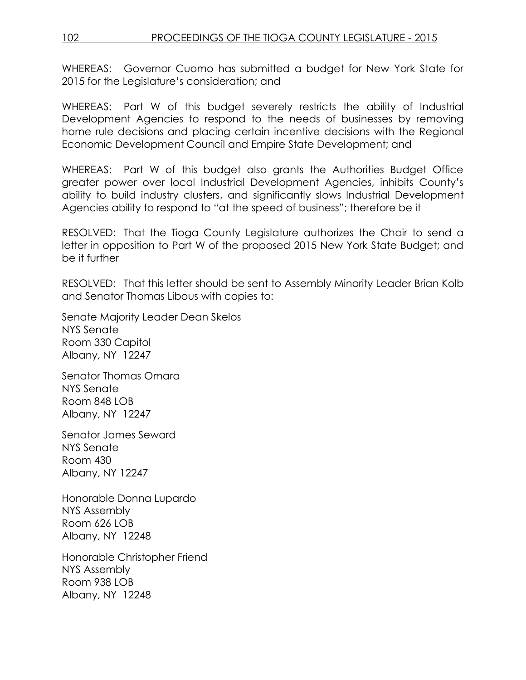WHEREAS: Governor Cuomo has submitted a budget for New York State for 2015 for the Legislature's consideration; and

WHEREAS: Part W of this budget severely restricts the ability of Industrial Development Agencies to respond to the needs of businesses by removing home rule decisions and placing certain incentive decisions with the Regional Economic Development Council and Empire State Development; and

WHEREAS: Part W of this budget also grants the Authorities Budget Office greater power over local Industrial Development Agencies, inhibits County's ability to build industry clusters, and significantly slows Industrial Development Agencies ability to respond to "at the speed of business"; therefore be it

RESOLVED: That the Tioga County Legislature authorizes the Chair to send a letter in opposition to Part W of the proposed 2015 New York State Budget; and be it further

RESOLVED: That this letter should be sent to Assembly Minority Leader Brian Kolb and Senator Thomas Libous with copies to:

Senate Majority Leader Dean Skelos NYS Senate Room 330 Capitol Albany, NY 12247

Senator Thomas Omara NYS Senate Room 848 LOB Albany, NY 12247

Senator James Seward NYS Senate Room 430 Albany, NY 12247

Honorable Donna Lupardo NYS Assembly Room 626 LOB Albany, NY 12248

Honorable Christopher Friend NYS Assembly Room 938 LOB Albany, NY 12248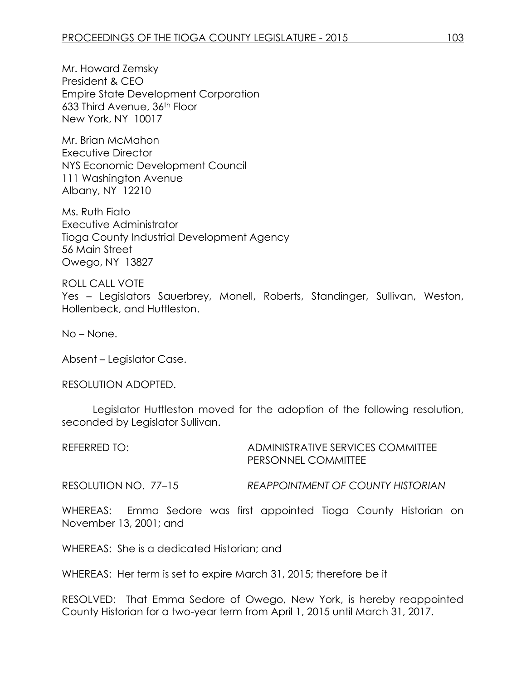Mr. Howard Zemsky President & CEO Empire State Development Corporation 633 Third Avenue, 36th Floor New York, NY 10017

Mr. Brian McMahon Executive Director NYS Economic Development Council 111 Washington Avenue Albany, NY 12210

Ms. Ruth Fiato Executive Administrator Tioga County Industrial Development Agency 56 Main Street Owego, NY 13827

ROLL CALL VOTE Yes – Legislators Sauerbrey, Monell, Roberts, Standinger, Sullivan, Weston, Hollenbeck, and Huttleston.

No – None.

Absent – Legislator Case.

RESOLUTION ADOPTED.

Legislator Huttleston moved for the adoption of the following resolution, seconded by Legislator Sullivan.

| REFERRED TO: I        | ADMINISTRATIVE SERVICES COMMITTEE<br>PERSONNEL COMMITTEE |
|-----------------------|----------------------------------------------------------|
| RESOLUTION NO.  77–15 | REAPPOINTMENT OF COUNTY HISTORIAN                        |

WHEREAS: Emma Sedore was first appointed Tioga County Historian on November 13, 2001; and

WHEREAS: She is a dedicated Historian; and

WHEREAS: Her term is set to expire March 31, 2015; therefore be it

RESOLVED: That Emma Sedore of Owego, New York, is hereby reappointed County Historian for a two-year term from April 1, 2015 until March 31, 2017.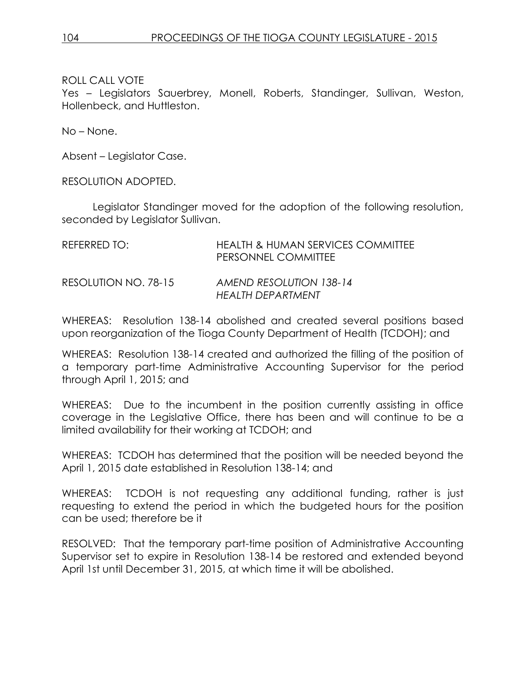Yes – Legislators Sauerbrey, Monell, Roberts, Standinger, Sullivan, Weston, Hollenbeck, and Huttleston.

No – None.

Absent – Legislator Case.

RESOLUTION ADOPTED.

Legislator Standinger moved for the adoption of the following resolution, seconded by Legislator Sullivan.

| REFERRED TO:         | HEALTH & HUMAN SERVICES COMMITTEE<br>PERSONNEL COMMITTEE |
|----------------------|----------------------------------------------------------|
| RESOLUTION NO. 78-15 | AMEND RESOLUTION 138-14<br>HEALTH DEPARTMENT             |

WHEREAS: Resolution 138-14 abolished and created several positions based upon reorganization of the Tioga County Department of Health (TCDOH); and

WHEREAS: Resolution 138-14 created and authorized the filling of the position of a temporary part-time Administrative Accounting Supervisor for the period through April 1, 2015; and

WHEREAS: Due to the incumbent in the position currently assisting in office coverage in the Legislative Office, there has been and will continue to be a limited availability for their working at TCDOH; and

WHEREAS: TCDOH has determined that the position will be needed beyond the April 1, 2015 date established in Resolution 138-14; and

WHEREAS: TCDOH is not requesting any additional funding, rather is just requesting to extend the period in which the budgeted hours for the position can be used; therefore be it

RESOLVED: That the temporary part-time position of Administrative Accounting Supervisor set to expire in Resolution 138-14 be restored and extended beyond April 1st until December 31, 2015, at which time it will be abolished.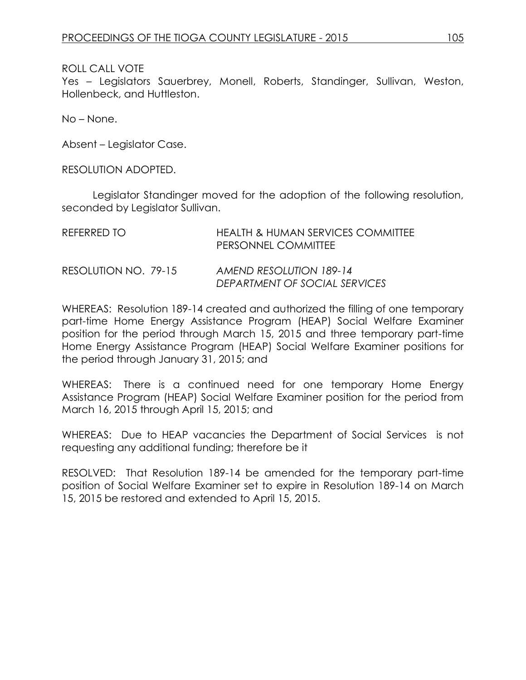Yes – Legislators Sauerbrey, Monell, Roberts, Standinger, Sullivan, Weston, Hollenbeck, and Huttleston.

No – None.

Absent – Legislator Case.

RESOLUTION ADOPTED.

Legislator Standinger moved for the adoption of the following resolution, seconded by Legislator Sullivan.

| REFERRED TO          | HEALTH & HUMAN SERVICES COMMITTEE<br><b>PERSONNEL COMMITTEE</b> |
|----------------------|-----------------------------------------------------------------|
| RESOLUTION NO. 79-15 | <b>AMEND RESOLUTION 189-14</b><br>DEPARTMENT OF SOCIAL SERVICES |

WHEREAS: Resolution 189-14 created and authorized the filling of one temporary part-time Home Energy Assistance Program (HEAP) Social Welfare Examiner position for the period through March 15, 2015 and three temporary part-time Home Energy Assistance Program (HEAP) Social Welfare Examiner positions for the period through January 31, 2015; and

WHEREAS: There is a continued need for one temporary Home Energy Assistance Program (HEAP) Social Welfare Examiner position for the period from March 16, 2015 through April 15, 2015; and

WHEREAS: Due to HEAP vacancies the Department of Social Services is not requesting any additional funding; therefore be it

RESOLVED: That Resolution 189-14 be amended for the temporary part-time position of Social Welfare Examiner set to expire in Resolution 189-14 on March 15, 2015 be restored and extended to April 15, 2015.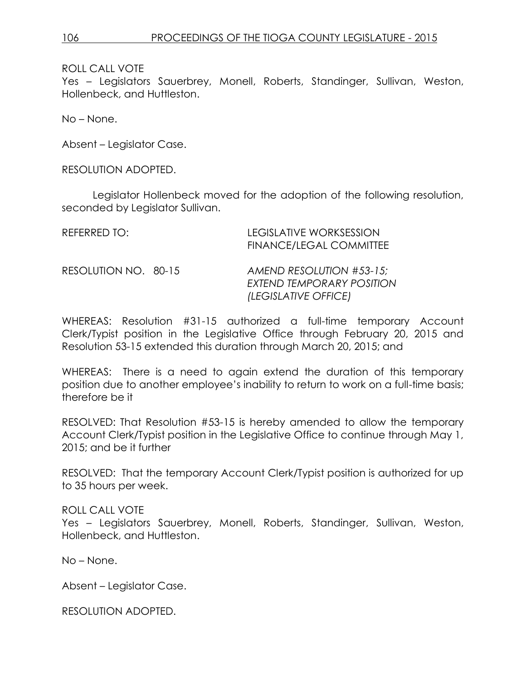Yes – Legislators Sauerbrey, Monell, Roberts, Standinger, Sullivan, Weston, Hollenbeck, and Huttleston.

No – None.

Absent – Legislator Case.

RESOLUTION ADOPTED.

Legislator Hollenbeck moved for the adoption of the following resolution, seconded by Legislator Sullivan.

| REFERRED TO:         | LEGISLATIVE WORKSESSION<br><b>FINANCE/LEGAL COMMITTEE</b>                     |
|----------------------|-------------------------------------------------------------------------------|
| RESOLUTION NO. 80-15 | AMEND RESOLUTION #53-15;<br>EXTEND TEMPORARY POSITION<br>(LEGISLATIVE OFFICE) |

WHEREAS: Resolution #31-15 authorized a full-time temporary Account Clerk/Typist position in the Legislative Office through February 20, 2015 and Resolution 53-15 extended this duration through March 20, 2015; and

WHEREAS: There is a need to again extend the duration of this temporary position due to another employee's inability to return to work on a full-time basis; therefore be it

RESOLVED: That Resolution #53-15 is hereby amended to allow the temporary Account Clerk/Typist position in the Legislative Office to continue through May 1, 2015; and be it further

RESOLVED: That the temporary Account Clerk/Typist position is authorized for up to 35 hours per week.

ROLL CALL VOTE Yes – Legislators Sauerbrey, Monell, Roberts, Standinger, Sullivan, Weston, Hollenbeck, and Huttleston.

No – None.

Absent – Legislator Case.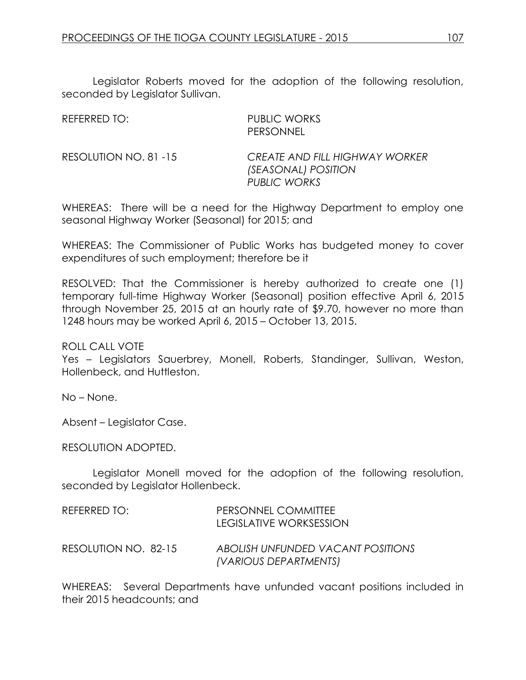Legislator Roberts moved for the adoption of the following resolution, seconded by Legislator Sullivan.

| REFERRED TO:           | <b>PUBLIC WORKS</b><br><b>PERSONNEL</b>                               |
|------------------------|-----------------------------------------------------------------------|
| RESOLUTION NO. 81 - 15 | CREATE AND FILL HIGHWAY WORKER<br>(SEASONAL) POSITION<br>PUBLIC WORKS |

WHEREAS: There will be a need for the Highway Department to employ one seasonal Highway Worker (Seasonal) for 2015; and

WHEREAS: The Commissioner of Public Works has budgeted money to cover expenditures of such employment; therefore be it

RESOLVED: That the Commissioner is hereby authorized to create one (1) temporary full-time Highway Worker (Seasonal) position effective April 6, 2015 through November 25, 2015 at an hourly rate of \$9.70, however no more than 1248 hours may be worked April 6, 2015 – October 13, 2015.

ROLL CALL VOTE

Yes – Legislators Sauerbrey, Monell, Roberts, Standinger, Sullivan, Weston, Hollenbeck, and Huttleston.

No – None.

Absent – Legislator Case.

RESOLUTION ADOPTED.

Legislator Monell moved for the adoption of the following resolution, seconded by Legislator Hollenbeck.

| REFERRED TO:         | PERSONNEL COMMITTEE<br>LEGISLATIVE WORKSESSION             |
|----------------------|------------------------------------------------------------|
| RESOLUTION NO. 82-15 | ABOLISH UNFUNDED VACANT POSITIONS<br>(VARIOUS DEPARTMENTS) |

WHEREAS: Several Departments have unfunded vacant positions included in their 2015 headcounts; and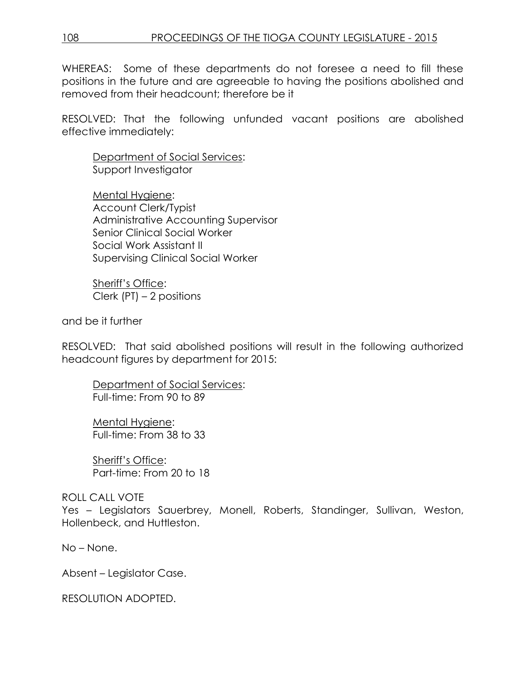WHEREAS: Some of these departments do not foresee a need to fill these positions in the future and are agreeable to having the positions abolished and removed from their headcount; therefore be it

RESOLVED: That the following unfunded vacant positions are abolished effective immediately:

Department of Social Services: Support Investigator

Mental Hygiene: Account Clerk/Typist Administrative Accounting Supervisor Senior Clinical Social Worker Social Work Assistant II Supervising Clinical Social Worker

Sheriff's Office: Clerk (PT) – 2 positions

and be it further

RESOLVED: That said abolished positions will result in the following authorized headcount figures by department for 2015:

Department of Social Services: Full-time: From 90 to 89

Mental Hygiene: Full-time: From 38 to 33

Sheriff's Office: Part-time: From 20 to 18

## ROLL CALL VOTE

Yes – Legislators Sauerbrey, Monell, Roberts, Standinger, Sullivan, Weston, Hollenbeck, and Huttleston.

No – None.

Absent – Legislator Case.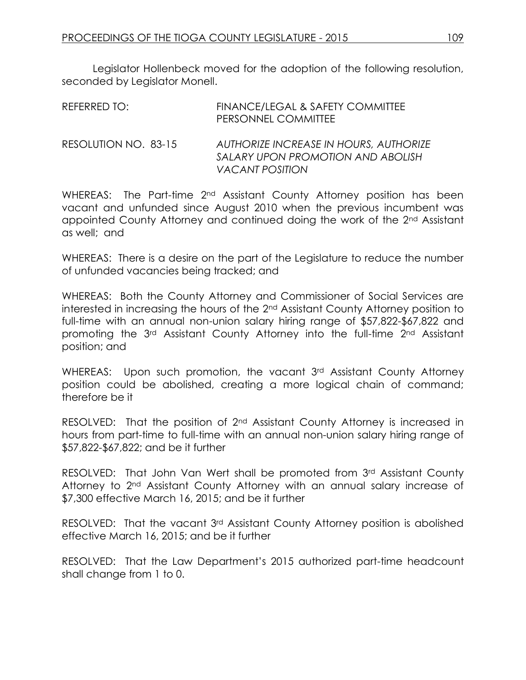Legislator Hollenbeck moved for the adoption of the following resolution, seconded by Legislator Monell.

| REFERRED TO:         | FINANCE/LEGAL & SAFETY COMMITTEE<br>PERSONNEL COMMITTEE                                               |
|----------------------|-------------------------------------------------------------------------------------------------------|
| RESOLUTION NO. 83-15 | AUTHORIZE INCREASE IN HOURS, AUTHORIZE<br>SALARY UPON PROMOTION AND ABOLISH<br><b>VACANT POSITION</b> |

WHEREAS: The Part-time 2<sup>nd</sup> Assistant County Attorney position has been vacant and unfunded since August 2010 when the previous incumbent was appointed County Attorney and continued doing the work of the 2nd Assistant as well; and

WHEREAS: There is a desire on the part of the Legislature to reduce the number of unfunded vacancies being tracked; and

WHEREAS: Both the County Attorney and Commissioner of Social Services are interested in increasing the hours of the 2nd Assistant County Attorney position to full-time with an annual non-union salary hiring range of \$57,822-\$67,822 and promoting the 3rd Assistant County Attorney into the full-time 2nd Assistant position; and

WHEREAS: Upon such promotion, the vacant 3rd Assistant County Attorney position could be abolished, creating a more logical chain of command; therefore be it

RESOLVED: That the position of 2<sup>nd</sup> Assistant County Attorney is increased in hours from part-time to full-time with an annual non-union salary hiring range of \$57,822-\$67,822; and be it further

RESOLVED: That John Van Wert shall be promoted from 3rd Assistant County Attorney to 2<sup>nd</sup> Assistant County Attorney with an annual salary increase of \$7,300 effective March 16, 2015; and be it further

RESOLVED: That the vacant 3rd Assistant County Attorney position is abolished effective March 16, 2015; and be it further

RESOLVED: That the Law Department's 2015 authorized part-time headcount shall change from 1 to 0.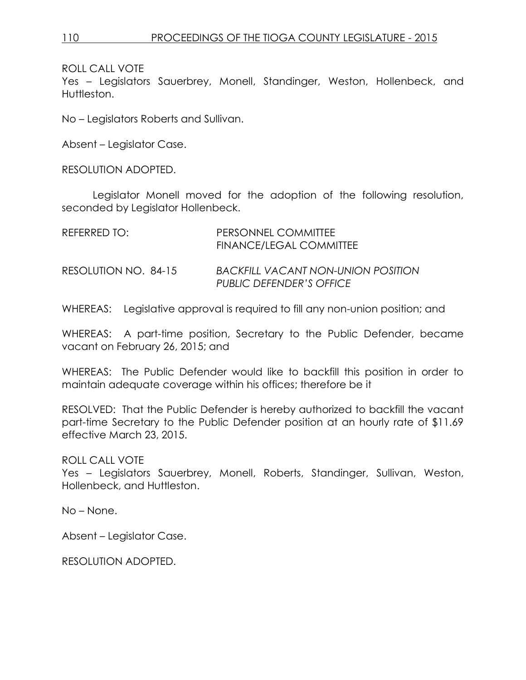Yes – Legislators Sauerbrey, Monell, Standinger, Weston, Hollenbeck, and Huttleston.

No – Legislators Roberts and Sullivan.

Absent – Legislator Case.

RESOLUTION ADOPTED.

Legislator Monell moved for the adoption of the following resolution, seconded by Legislator Hollenbeck.

| REFERRED TO:         | PERSONNEL COMMITTEE<br><b>FINANCE/LEGAL COMMITTEE</b>                 |
|----------------------|-----------------------------------------------------------------------|
| RESOLUTION NO. 84-15 | <b>BACKFILL VACANT NON-UNION POSITION</b><br>PUBLIC DEFENDER'S OFFICE |

WHEREAS: Legislative approval is required to fill any non-union position; and

WHEREAS: A part-time position, Secretary to the Public Defender, became vacant on February 26, 2015; and

WHEREAS: The Public Defender would like to backfill this position in order to maintain adequate coverage within his offices; therefore be it

RESOLVED: That the Public Defender is hereby authorized to backfill the vacant part-time Secretary to the Public Defender position at an hourly rate of \$11.69 effective March 23, 2015.

## ROLL CALL VOTE

Yes – Legislators Sauerbrey, Monell, Roberts, Standinger, Sullivan, Weston, Hollenbeck, and Huttleston.

No – None.

Absent – Legislator Case.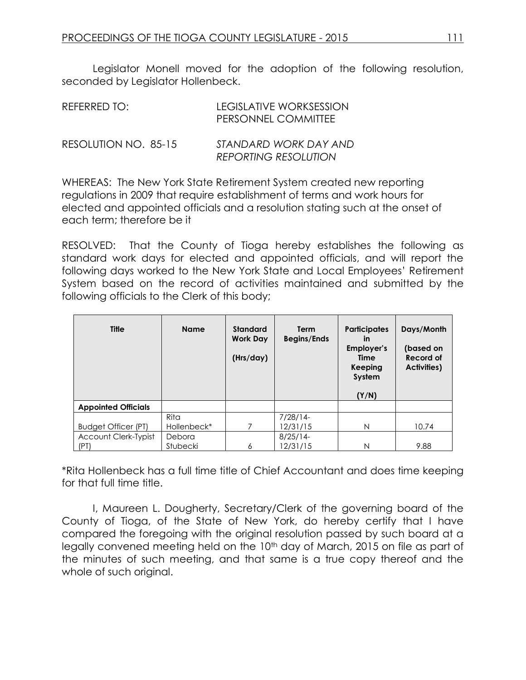Legislator Monell moved for the adoption of the following resolution, seconded by Legislator Hollenbeck.

| REFERRED TO:         | LEGISLATIVE WORKSESSION<br>PERSONNEL COMMITTEE       |  |  |
|----------------------|------------------------------------------------------|--|--|
| RESOLUTION NO. 85-15 | STANDARD WORK DAY AND<br><b>REPORTING RESOLUTION</b> |  |  |

WHEREAS: The New York State Retirement System created new reporting regulations in 2009 that require establishment of terms and work hours for elected and appointed officials and a resolution stating such at the onset of each term; therefore be it

RESOLVED: That the County of Tioga hereby establishes the following as standard work days for elected and appointed officials, and will report the following days worked to the New York State and Local Employees' Retirement System based on the record of activities maintained and submitted by the following officials to the Clerk of this body;

| <b>Title</b>                | <b>Name</b>     | <b>Standard</b><br><b>Work Day</b><br>(Hrs/day) | <b>Term</b><br><b>Begins/Ends</b> | <b>Participates</b><br>in<br>Employer's<br>Time<br>Keeping<br>System<br>(Y/N) | Days/Month<br>(based on<br><b>Record of</b><br>Activities) |
|-----------------------------|-----------------|-------------------------------------------------|-----------------------------------|-------------------------------------------------------------------------------|------------------------------------------------------------|
| <b>Appointed Officials</b>  |                 |                                                 |                                   |                                                                               |                                                            |
|                             | <b>Rita</b>     |                                                 | $7/28/14-$                        |                                                                               |                                                            |
| Budget Officer (PT)         | Hollenbeck*     | 7                                               | 12/31/15                          | N                                                                             | 10.74                                                      |
| <b>Account Clerk-Typist</b> | Debora          |                                                 | $8/25/14$ -                       |                                                                               |                                                            |
| (PT)                        | <b>Stubecki</b> | 6                                               | 12/31/15                          | N                                                                             | 9.88                                                       |

\*Rita Hollenbeck has a full time title of Chief Accountant and does time keeping for that full time title.

I, Maureen L. Dougherty, Secretary/Clerk of the governing board of the County of Tioga, of the State of New York, do hereby certify that I have compared the foregoing with the original resolution passed by such board at a legally convened meeting held on the 10<sup>th</sup> day of March, 2015 on file as part of the minutes of such meeting, and that same is a true copy thereof and the whole of such original.